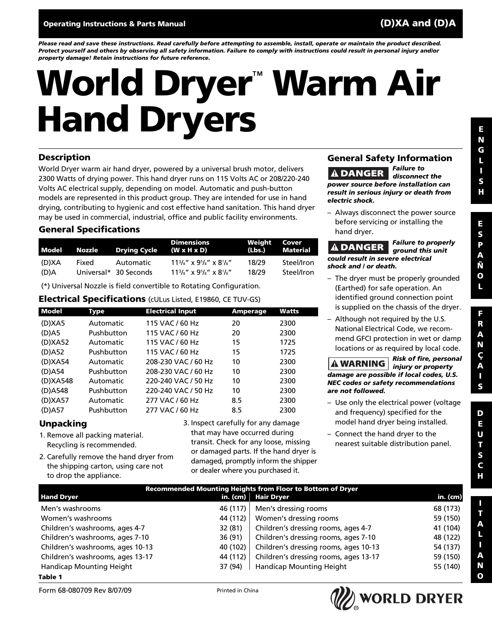*Please read and save these instructions. Read carefully before attempting to assemble, install, operate or maintain the product described. Protect yourself and others by observing all safety information. Failure to comply with instructions could result in personal injury and/or property damage! Retain instructions for future reference.*

# **World Dryer**™ **Warm Air Hand Dryers**

#### **Description**

World Dryer warm air hand dryer, powered by a universal brush motor, delivers 2300 Watts of drying power. This hand dryer runs on 115 Volts AC or 208/220-240 Volts AC electrical supply, depending on model. Automatic and push-button models are represented in this product group. They are intended for use in hand drying, contributing to hygienic and cost effective hand sanitation. This hand dryer may be used in commercial, industrial, office and public facility environments.

#### **General Specifications**

| Model | Nozzle | <b>Drying Cycle</b>   | <b>Dimensions</b><br>$(W \times H \times D)$ | Weight | Cover<br>(Lbs.) Material |
|-------|--------|-----------------------|----------------------------------------------|--------|--------------------------|
| (D)XA | Fixed  | Automatic             | $113/s''$ x $95/s''$ x $81/s''$              | 18/29  | Steel/Iron               |
| (D)A  |        | Universal* 30 Seconds | $113/s''$ x $95/s''$ x $81/s''$              | 18/29  | Steel/Iron               |

(\*) Universal Nozzle is field convertible to Rotating Configuration.

#### **Electrical Specifications** (cULus Listed, E19860, CE TUV-GS)

| <b>Model</b> | Type       | <b>Electrical Input</b> | <b>Amperage</b> | Watts |
|--------------|------------|-------------------------|-----------------|-------|
| (D)XA5       | Automatic  | 115 VAC / 60 Hz         | 20              | 2300  |
| $(D)$ A5     | Pushbutton | 115 VAC / 60 Hz         | 20              | 2300  |
| (D)XA52      | Automatic  | 115 VAC / 60 Hz         | 15              | 1725  |
| (D)A52       | Pushbutton | 115 VAC / 60 Hz         | 15              | 1725  |
| (D)XA54      | Automatic  | 208-230 VAC / 60 Hz     | 10              | 2300  |
| $(D)$ A54    | Pushbutton | 208-230 VAC / 60 Hz     | 10              | 2300  |
| (D) XA548    | Automatic  | 220-240 VAC / 50 Hz     | 10              | 2300  |
| (D)A548      | Pushbutton | 220-240 VAC / 50 Hz     | 10              | 2300  |
| (D)XA57      | Automatic  | 277 VAC / 60 Hz         | 8.5             | 2300  |
| $(D)$ A57    | Pushbutton | 277 VAC / 60 Hz         | 8.5             | 2300  |

#### **Unpacking**

- 1. Remove all packing material. Recycling is recommended.
- 2. Carefully remove the hand dryer from the shipping carton, using care not to drop the appliance.

3. Inspect carefully for any damage that may have occurred during transit. Check for any loose, missing or damaged parts. If the hand dryer is damaged, promptly inform the shipper or dealer where you purchased it.

#### **General Safety Information** *Failure to*

**ADANGER** *disconnect the power source before installation can result in serious injury or death from electric shock.*

– Always disconnect the power source before servicing or installing the hand dryer.

*Failure to properly* **A DANGER** *ground this unit could result in severe electrical shock and / or death.*

- The dryer must be properly grounded (Earthed) for safe operation. An identified ground connection point is supplied on the chassis of the dryer.
- Although not required by the U.S. National Electrical Code, we recommend GFCI protection in wet or damp locations or as required by local code.

*Risk of fire, personal injury or property damage are possible if local codes, U.S. NEC codes or safety recommendations are not followed.*

- Use only the electrical power (voltage and frequency) specified for the model hand dryer being installed.
- Connect the hand dryer to the nearest suitable distribution panel.

| Recommended Mounting Heights from Floor to Bottom of Dryer |                  |                                       |          |  |
|------------------------------------------------------------|------------------|---------------------------------------|----------|--|
| <b>Hand Dryer</b>                                          | in. (cm) $\vert$ | <b>Hair Dryer</b>                     | in. (cm) |  |
| Men's washrooms                                            | 46 (117)         | Men's dressing rooms                  | 68 (173) |  |
| Women's washrooms                                          | 44 (112)         | Women's dressing rooms                | 59 (150) |  |
| Children's washrooms, ages 4-7                             | 32 (81)          | Children's dressing rooms, ages 4-7   | 41 (104) |  |
| Children's washrooms, ages 7-10                            | 36 (91)          | Children's dressing rooms, ages 7-10  | 48 (122) |  |
| Children's washrooms, ages 10-13                           | 40 (102)         | Children's dressing rooms, ages 10-13 | 54 (137) |  |
| Children's washrooms, ages 13-17                           | 44 (112)         | Children's dressing rooms, ages 13-17 | 59 (150) |  |
| Handicap Mounting Height                                   | 37 (94)          | Handicap Mounting Height              | 55 (140) |  |
| -                                                          |                  |                                       |          |  |

**Table 1**



**E S**

**D E U T S C H**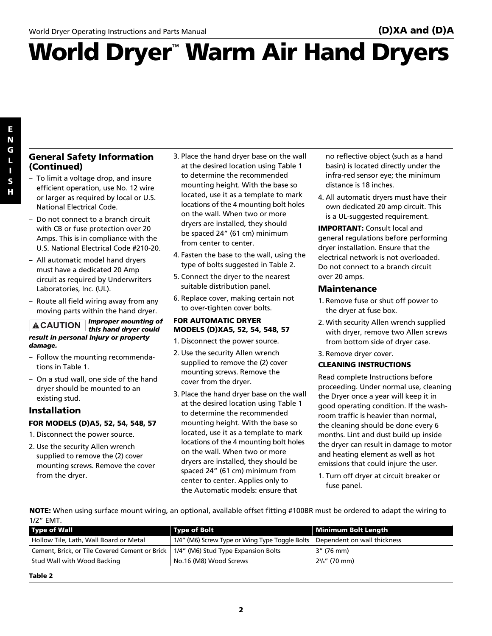# **World Dryer**™ **Warm Air Hand Dryers**

#### **General Safety Information (Continued)**

- To limit a voltage drop, and insure efficient operation, use No. 12 wire or larger as required by local or U.S. National Electrical Code.
- Do not connect to a branch circuit with CB or fuse protection over 20 Amps. This is in compliance with the U.S. National Electrical Code #210-20.
- All automatic model hand dryers must have a dedicated 20 Amp circuit as required by Underwriters Laboratories, Inc. (UL).
- Route all field wiring away from any moving parts within the hand dryer.

#### *Improper mounting of this hand dryer could* **CAUTION** *result in personal injury or property damage.*

- Follow the mounting recommendations in Table 1.
- On a stud wall, one side of the hand dryer should be mounted to an existing stud.

#### **Installation**

#### **FOR MODELS (D)A5, 52, 54, 548, 57**

- 1. Disconnect the power source.
- 2. Use the security Allen wrench supplied to remove the (2) cover mounting screws. Remove the cover from the dryer.
- 3. Place the hand dryer base on the wall at the desired location using Table 1 to determine the recommended mounting height. With the base so located, use it as a template to mark locations of the 4 mounting bolt holes on the wall. When two or more dryers are installed, they should be spaced 24" (61 cm) minimum from center to center.
- 4. Fasten the base to the wall, using the type of bolts suggested in Table 2.
- 5. Connect the dryer to the nearest suitable distribution panel.
- 6. Replace cover, making certain not to over-tighten cover bolts.

#### **FOR AUTOMATIC DRYER MODELS (D)XA5, 52, 54, 548, 57**

- 1. Disconnect the power source.
- 2. Use the security Allen wrench supplied to remove the (2) cover mounting screws. Remove the cover from the dryer.
- 3. Place the hand dryer base on the wall at the desired location using Table 1 to determine the recommended mounting height. With the base so located, use it as a template to mark locations of the 4 mounting bolt holes on the wall. When two or more dryers are installed, they should be spaced 24" (61 cm) minimum from center to center. Applies only to the Automatic models: ensure that

no reflective object (such as a hand basin) is located directly under the infra-red sensor eye; the minimum distance is 18 inches.

4. All automatic dryers must have their own dedicated 20 amp circuit. This is a UL-suggested requirement.

**IMPORTANT:** Consult local and general regulations before performing dryer installation. Ensure that the electrical network is not overloaded. Do not connect to a branch circuit over 20 amps.

#### **Maintenance**

- 1. Remove fuse or shut off power to the dryer at fuse box.
- 2. With security Allen wrench supplied with dryer, remove two Allen screws from bottom side of dryer case.
- 3. Remove dryer cover.

#### **CLEANING INSTRUCTIONS**

Read complete Instructions before proceeding. Under normal use, cleaning the Dryer once a year will keep it in good operating condition. If the washroom traffic is heavier than normal, the cleaning should be done every 6 months. Lint and dust build up inside the dryer can result in damage to motor and heating element as well as hot emissions that could injure the user.

1. Turn off dryer at circuit breaker or fuse panel.

**NOTE:** When using surface mount wiring, an optional, available offset fitting #100BR must be ordered to adapt the wiring to 1/2" EMT.

| <b>Type of Wall</b>                            | <b>Type of Bolt</b>                            | Minimum Bolt Length         |
|------------------------------------------------|------------------------------------------------|-----------------------------|
| Hollow Tile, Lath, Wall Board or Metal         | 1/4" (M6) Screw Type or Wing Type Toggle Bolts | Dependent on wall thickness |
| Cement, Brick, or Tile Covered Cement or Brick | 1/4" (M6) Stud Type Expansion Bolts            | 3" (76 mm)                  |
| Stud Wall with Wood Backing                    | No.16 (M8) Wood Screws                         | $2\frac{3}{4}$ " (70 mm)    |
|                                                |                                                |                             |

**Table 2**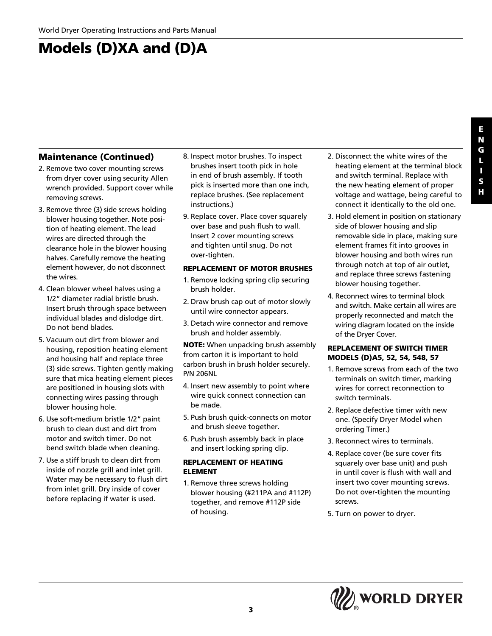## **Models (D)XA and (D)A**

#### **Maintenance (Continued)**

- 2. Remove two cover mounting screws from dryer cover using security Allen wrench provided. Support cover while removing screws.
- 3. Remove three (3) side screws holding blower housing together. Note position of heating element. The lead wires are directed through the clearance hole in the blower housing halves. Carefully remove the heating element however, do not disconnect the wires.
- 4. Clean blower wheel halves using a 1/2" diameter radial bristle brush. Insert brush through space between individual blades and dislodge dirt. Do not bend blades.
- 5. Vacuum out dirt from blower and housing, reposition heating element and housing half and replace three (3) side screws. Tighten gently making sure that mica heating element pieces are positioned in housing slots with connecting wires passing through blower housing hole.
- 6. Use soft-medium bristle 1/2" paint brush to clean dust and dirt from motor and switch timer. Do not bend switch blade when cleaning.
- 7. Use a stiff brush to clean dirt from inside of nozzle grill and inlet grill. Water may be necessary to flush dirt from inlet grill. Dry inside of cover before replacing if water is used.
- 8. Inspect motor brushes. To inspect brushes insert tooth pick in hole in end of brush assembly. If tooth pick is inserted more than one inch, replace brushes. (See replacement instructions.)
- 9. Replace cover. Place cover squarely over base and push flush to wall. Insert 2 cover mounting screws and tighten until snug. Do not over-tighten.

#### **REPLACEMENT OF MOTOR BRUSHES**

- 1. Remove locking spring clip securing brush holder.
- 2. Draw brush cap out of motor slowly until wire connector appears.
- 3. Detach wire connector and remove brush and holder assembly.

**NOTE:** When unpacking brush assembly from carton it is important to hold carbon brush in brush holder securely. P/N 206NL

- 4. Insert new assembly to point where wire quick connect connection can be made.
- 5. Push brush quick-connects on motor and brush sleeve together.
- 6. Push brush assembly back in place and insert locking spring clip.

#### **REPLACEMENT OF HEATING ELEMENT**

1. Remove three screws holding blower housing (#211PA and #112P) together, and remove #112P side of housing.

- 2. Disconnect the white wires of the heating element at the terminal block and switch terminal. Replace with the new heating element of proper voltage and wattage, being careful to connect it identically to the old one.
- 3. Hold element in position on stationary side of blower housing and slip removable side in place, making sure element frames fit into grooves in blower housing and both wires run through notch at top of air outlet, and replace three screws fastening blower housing together.
- 4. Reconnect wires to terminal block and switch. Make certain all wires are properly reconnected and match the wiring diagram located on the inside of the Dryer Cover.

#### **REPLACEMENT OF SWITCH TIMER MODELS (D)A5, 52, 54, 548, 57**

- 1. Remove screws from each of the two terminals on switch timer, marking wires for correct reconnection to switch terminals.
- 2. Replace defective timer with new one. (Specify Dryer Model when ordering Timer.)
- 3. Reconnect wires to terminals.
- 4. Replace cover (be sure cover fits squarely over base unit) and push in until cover is flush with wall and insert two cover mounting screws. Do not over-tighten the mounting screws.
- 5. Turn on power to dryer.

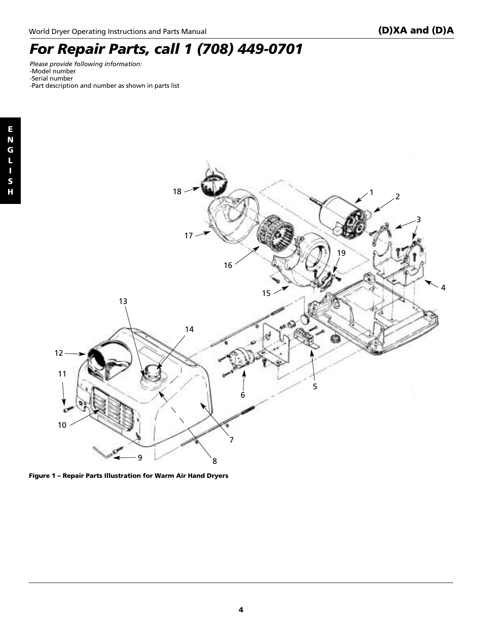### *For Repair Parts, call 1 (708) 449-0701*

*Please provide following information:* -Model number -Serial number -Part description and number as shown in parts list



**Figure 1 – Repair Parts Illustration for Warm Air Hand Dryers**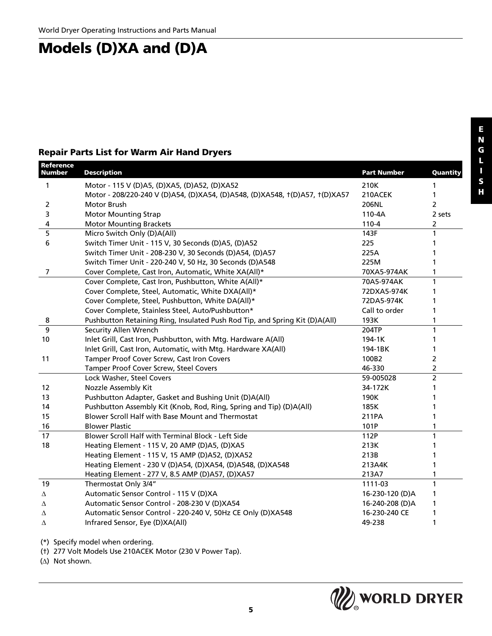### **Models (D)XA and (D)A**

#### **Repair Parts List for Warm Air Hand Dryers**

| <b>Reference</b><br><b>Number</b> | <b>Description</b>                                                          | <b>Part Number</b> | Quantity       |
|-----------------------------------|-----------------------------------------------------------------------------|--------------------|----------------|
| 1                                 | Motor - 115 V (D)A5, (D)XA5, (D)A52, (D)XA52                                | 210K               | 1              |
|                                   | Motor - 208/220-240 V (D)A54, (D)XA54, (D)A548, (D)XA548, t(D)A57, t(D)XA57 | 210ACEK            | 1              |
| 2                                 | Motor Brush                                                                 | 206NL              | $\overline{2}$ |
| 3                                 | <b>Motor Mounting Strap</b>                                                 | $110-4A$           | 2 sets         |
| 4                                 | <b>Motor Mounting Brackets</b>                                              | $110 - 4$          | 2              |
| 5                                 | Micro Switch Only (D)A(All)                                                 | 143F               | 1              |
| 6                                 | Switch Timer Unit - 115 V, 30 Seconds (D)A5, (D)A52                         | 225                | 1              |
|                                   | Switch Timer Unit - 208-230 V, 30 Seconds (D)A54, (D)A57                    | 225A               | 1              |
|                                   | Switch Timer Unit - 220-240 V, 50 Hz, 30 Seconds (D)A548                    | 225M               | 1              |
| 7                                 | Cover Complete, Cast Iron, Automatic, White XA(All)*                        | 70XA5-974AK        | 1              |
|                                   | Cover Complete, Cast Iron, Pushbutton, White A(All)*                        | 70A5-974AK         | 1              |
|                                   | Cover Complete, Steel, Automatic, White DXA(All)*                           | 72DXA5-974K        | 1              |
|                                   | Cover Complete, Steel, Pushbutton, White DA(All)*                           | 72DA5-974K         |                |
|                                   | Cover Complete, Stainless Steel, Auto/Pushbutton*                           | Call to order      | 1              |
| 8                                 | Pushbutton Retaining Ring, Insulated Push Rod Tip, and Spring Kit (D)A(All) | 193K               | 1              |
| 9                                 | Security Allen Wrench                                                       | 204TP              | $\mathbf{1}$   |
| 10                                | Inlet Grill, Cast Iron, Pushbutton, with Mtg. Hardware A(All)               | 194-1K             | 1              |
|                                   | Inlet Grill, Cast Iron, Automatic, with Mtg. Hardware XA(All)               | 194-1BK            | 1              |
| 11                                | Tamper Proof Cover Screw, Cast Iron Covers                                  | 100B2              | $\overline{2}$ |
|                                   | Tamper Proof Cover Screw, Steel Covers                                      | 46-330             | $\overline{2}$ |
|                                   | Lock Washer, Steel Covers                                                   | 59-005028          | $\overline{2}$ |
| 12                                | Nozzle Assembly Kit                                                         | 34-172K            | 1              |
| 13                                | Pushbutton Adapter, Gasket and Bushing Unit (D)A(All)                       | 190K               |                |
| 14                                | Pushbutton Assembly Kit (Knob, Rod, Ring, Spring and Tip) (D)A(All)         | 185K               |                |
| 15                                | Blower Scroll Half with Base Mount and Thermostat                           | 211PA              | 1              |
| 16                                | <b>Blower Plastic</b>                                                       | 101P               | 1              |
| 17                                | Blower Scroll Half with Terminal Block - Left Side                          | 112P               | 1              |
| 18                                | Heating Element - 115 V, 20 AMP (D)A5, (D)XA5                               | 213K               | 1              |
|                                   | Heating Element - 115 V, 15 AMP (D)A52, (D)XA52                             | 213B               | 1              |
|                                   | Heating Element - 230 V (D)A54, (D)XA54, (D)A548, (D)XA548                  | 213A4K             | 1              |
|                                   | Heating Element - 277 V, 8.5 AMP (D)A57, (D)XA57                            | 213A7              | 1              |
| 19                                | Thermostat Only 3/4"                                                        | 1111-03            | 1              |
| Δ                                 | Automatic Sensor Control - 115 V (D)XA                                      | 16-230-120 (D)A    | 1              |
| Λ                                 | Automatic Sensor Control - 208-230 V (D)XA54                                | 16-240-208 (D)A    | 1              |
| Δ                                 | Automatic Sensor Control - 220-240 V, 50Hz CE Only (D)XA548                 | 16-230-240 CE      | 1              |
| Δ                                 | Infrared Sensor, Eye (D)XA(All)                                             | 49-238             | 1              |

(\*) Specify model when ordering.

(†) 277 Volt Models Use 210ACEK Motor (230 V Power Tap).

(∆) Not shown.

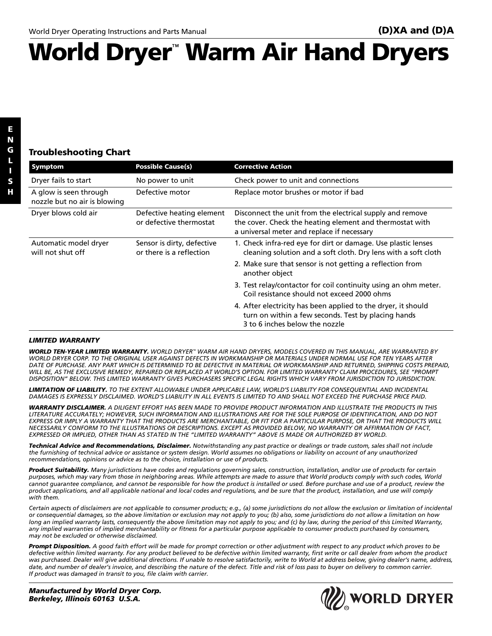# **World Dryer**™ **Warm Air Hand Dryers**

**E N G L I S H**

#### **Troubleshooting Chart**

| Symptom                                                | <b>Possible Cause(s)</b>                               | <b>Corrective Action</b>                                                                                                                                            |
|--------------------------------------------------------|--------------------------------------------------------|---------------------------------------------------------------------------------------------------------------------------------------------------------------------|
| Dryer fails to start                                   | No power to unit                                       | Check power to unit and connections                                                                                                                                 |
| A glow is seen through<br>nozzle but no air is blowing | Defective motor                                        | Replace motor brushes or motor if bad                                                                                                                               |
| Dryer blows cold air                                   | Defective heating element<br>or defective thermostat   | Disconnect the unit from the electrical supply and remove<br>the cover. Check the heating element and thermostat with<br>a universal meter and replace if necessary |
| Automatic model dryer<br>will not shut off             | Sensor is dirty, defective<br>or there is a reflection | 1. Check infra-red eye for dirt or damage. Use plastic lenses<br>cleaning solution and a soft cloth. Dry lens with a soft cloth                                     |
|                                                        |                                                        | 2. Make sure that sensor is not getting a reflection from<br>another object                                                                                         |
|                                                        |                                                        | 3. Test relay/contactor for coil continuity using an ohm meter.<br>Coil resistance should not exceed 2000 ohms                                                      |
|                                                        |                                                        | 4. After electricity has been applied to the dryer, it should<br>turn on within a few seconds. Test by placing hands<br>3 to 6 inches below the nozzle              |

#### *LIMITED WARRANTY*

*WORLD TEN-YEAR LIMITED WARRANTY. WORLD DRYER™ WARM AIR HAND DRYERS, MODELS COVERED IN THIS MANUAL, ARE WARRANTED BY WORLD DRYER CORP. TO THE ORIGINAL USER AGAINST DEFECTS IN WORKMANSHIP OR MATERIALS UNDER NORMAL USE FOR TEN YEARS AFTER DATE OF PURCHASE. ANY PART WHICH IS DETERMINED TO BE DEFECTIVE IN MATERIAL OR WORKMANSHIP AND RETURNED, SHIPPING COSTS PREPAID, WILL BE, AS THE EXCLUSIVE REMEDY, REPAIRED OR REPLACED AT WORLD'S OPTION. FOR LIMITED WARRANTY CLAIM PROCEDURES, SEE "PROMPT DISPOSITION" BELOW. THIS LIMITED WARRANTY GIVES PURCHASERS SPECIFIC LEGAL RIGHTS WHICH VARY FROM JURISDICTION TO JURISDICTION.*

*LIMITATION OF LIABILITY. TO THE EXTENT ALLOWABLE UNDER APPLICABLE LAW, WORLD'S LIABILITY FOR CONSEQUENTIAL AND INCIDENTAL DAMAGES IS EXPRESSLY DISCLAIMED. WORLD'S LIABILITY IN ALL EVENTS IS LIMITED TO AND SHALL NOT EXCEED THE PURCHASE PRICE PAID.*

*WARRANTY DISCLAIMER. A DILIGENT EFFORT HAS BEEN MADE TO PROVIDE PRODUCT INFORMATION AND ILLUSTRATE THE PRODUCTS IN THIS LITERATURE ACCURATELY; HOWEVER, SUCH INFORMATION AND ILLUSTRATIONS ARE FOR THE SOLE PURPOSE OF IDENTIFICATION, AND DO NOT EXPRESS OR IMPLY A WARRANTY THAT THE PRODUCTS ARE MERCHANTABLE, OR FIT FOR A PARTICULAR PURPOSE, OR THAT THE PRODUCTS WILL NECESSARILY CONFORM TO THE ILLUSTRATIONS OR DESCRIPTIONS. EXCEPT AS PROVIDED BELOW, NO WARRANTY OR AFFIRMATION OF FACT, EXPRESSED OR IMPLIED, OTHER THAN AS STATED IN THE "LIMITED WARRANTY" ABOVE IS MADE OR AUTHORIZED BY WORLD.*

*Technical Advice and Recommendations, Disclaimer. Notwithstanding any past practice or dealings or trade custom, sales shall not include the furnishing of technical advice or assistance or system design. World assumes no obligations or liability on account of any unauthorized recommendations, opinions or advice as to the choice, installation or use of products.*

*Product Suitability. Many jurisdictions have codes and regulations governing sales, construction, installation, and/or use of products for certain purposes, which may vary from those in neighboring areas. While attempts are made to assure that World products comply with such codes, World cannot guarantee compliance, and cannot be responsible for how the product is installed or used. Before purchase and use of a product, review the product applications, and all applicable national and local codes and regulations, and be sure that the product, installation, and use will comply with them.*

*Certain aspects of disclaimers are not applicable to consumer products; e.g., (a) some jurisdictions do not allow the exclusion or limitation of incidental or consequential damages, so the above limitation or exclusion may not apply to you; (b) also, some jurisdictions do not allow a limitation on how long an implied warranty lasts, consequently the above limitation may not apply to you; and (c) by law, during the period of this Limited Warranty, any implied warranties of implied merchantability or fitness for a particular purpose applicable to consumer products purchased by consumers, may not be excluded or otherwise disclaimed.*

*Prompt Disposition. A good faith effort will be made for prompt correction or other adjustment with respect to any product which proves to be defective within limited warranty. For any product believed to be defective within limited warranty, first write or call dealer from whom the product was purchased. Dealer will give additional directions. If unable to resolve satisfactorily, write to World at address below, giving dealer's name, address, date, and number of dealer's invoice, and describing the nature of the defect. Title and risk of loss pass to buyer on delivery to common carrier. If product was damaged in transit to you, file claim with carrier.*

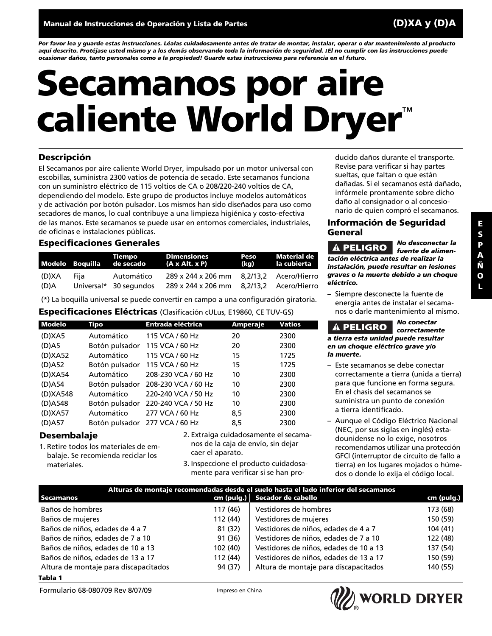*Por favor lea y guarde estas instrucciones. Léalas cuidadosamente antes de tratar de montar, instalar, operar o dar mantenimiento al producto aquí descrito. Protéjase usted mismo y a los demás observando toda la información de seguridad. ¡El no cumplir con las instrucciones puede ocasionar daños, tanto personales como a la propiedad! Guarde estas instrucciones para referencia en el futuro.*

# **Secamanos por aire caliente World Dryer**™

#### **Descripción**

El Secamanos por aire caliente World Dryer, impulsado por un motor universal con escobillas, suministra 2300 vatios de potencia de secado. Este secamanos funciona con un suministro eléctrico de 115 voltios de CA o 208/220-240 voltios de CA, dependiendo del modelo. Este grupo de productos incluye modelos automáticos y de activación por botón pulsador. Los mismos han sido diseñados para uso como secadores de manos, lo cual contribuye a una limpieza higiénica y costo-efectiva de las manos. Este secamanos se puede usar en entornos comerciales, industriales, de oficinas e instalaciones públicas.

#### **Especificaciones Generales**

|               |      | Tiempo<br>Modelo Boquilla de secado  | <b>Dimensiones</b><br>(A x Alt. x P)                           | Peso<br>(kg) | Material de<br>la cubierta |
|---------------|------|--------------------------------------|----------------------------------------------------------------|--------------|----------------------------|
| (D)XA<br>(D)A | Fiia | Automático<br>Universal* 30 segundos | 289 x 244 x 206 mm 8.2/13.2 Acero/Hierro<br>289 x 244 x 206 mm |              | 8.2/13.2 Acero/Hierro      |

(\*) La boquilla universal se puede convertir en campo a una configuración giratoria.

#### **Especificaciones Eléctricas** (Clasificación cULus, E19860, CE TUV-GS)

| Modelo    | <b>Tipo</b>    | <b>Entrada eléctrica</b> | <b>Amperaje</b> | <b>Vatios</b> |
|-----------|----------------|--------------------------|-----------------|---------------|
| (D)XA5    | Automático     | 115 VCA / 60 Hz          | 20              | 2300          |
| $(D)$ A5  | Botón pulsador | 115 VCA / 60 Hz          | 20              | 2300          |
| (D)XA52   | Automático     | 115 VCA / 60 Hz          | 15              | 1725          |
| (D)A52    | Botón pulsador | 115 VCA / 60 Hz          | 15              | 1725          |
| (D)XA54   | Automático     | 208-230 VCA / 60 Hz      | 10              | 2300          |
| $(D)$ A54 | Botón pulsador | 208-230 VCA / 60 Hz      | 10              | 2300          |
| (D)XA548  | Automático     | 220-240 VCA / 50 Hz      | 10              | 2300          |
| (D)A548   | Botón pulsador | 220-240 VCA / 50 Hz      | 10              | 2300          |
| (D)XA57   | Automático     | 277 VCA / 60 Hz          | 8,5             | 2300          |
| (D)A57    | Botón pulsador | 277 VCA / 60 Hz          | 8,5             | 2300          |

#### **Desembalaje**

- 1. Retire todos los materiales de embalaje. Se recomienda reciclar los materiales.
- 2. Extraiga cuidadosamente el secamanos de la caja de envío, sin dejar caer el aparato.
- 3. Inspeccione el producto cuidadosamente para verificar si se han pro-

ducido daños durante el transporte. Revise para verificar si hay partes sueltas, que faltan o que están dañadas. Si el secamanos está dañado, infórmele prontamente sobre dicho daño al consignador o al concesionario de quien compró el secamanos.

#### **Información de Seguridad General**

*No desconectar la* A PELIGRO *fuente de alimentación eléctrica antes de realizar la instalación, puede resultar en lesiones graves o la muerte debido a un choque eléctrico.*

– Siempre desconecte la fuente de energía antes de instalar el secamanos o darle mantenimiento al mismo.

*No conectar* PELIGRO *correctamente a tierra esta unidad puede resultar en un choque eléctrico grave y/o la muerte.*

- Este secamanos se debe conectar correctamente a tierra (unida a tierra) para que funcione en forma segura. En el chasis del secamanos se suministra un punto de conexión a tierra identificado.
- Aunque el Código Eléctrico Nacional (NEC, por sus siglas en inglés) estadounidense no lo exige, nosotros recomendamos utilizar una protección GFCI (interruptor de circuito de fallo a tierra) en los lugares mojados o húmedos o donde lo exija el código local.

| Alturas de montaje recomendadas desde el suelo hasta el lado inferior del secamanos |          |                                        |            |  |
|-------------------------------------------------------------------------------------|----------|----------------------------------------|------------|--|
| Secamanos                                                                           |          | cm (pulg.) Secador de cabello          | cm (pulg.) |  |
| Baños de hombres                                                                    | 117 (46) | Vestidores de hombres                  | 173 (68)   |  |
| Baños de mujeres                                                                    | 112 (44) | Vestidores de mujeres                  | 150 (59)   |  |
| Baños de niños, edades de 4 a 7                                                     | 81 (32)  | Vestidores de niños, edades de 4 a 7   | 104(41)    |  |
| Baños de niños, edades de 7 a 10                                                    | 91 (36)  | Vestidores de niños, edades de 7 a 10  | 122 (48)   |  |
| Baños de niños, edades de 10 a 13                                                   | 102 (40) | Vestidores de niños, edades de 10 a 13 | 137 (54)   |  |
| Baños de niños, edades de 13 a 17                                                   | 112 (44) | Vestidores de niños, edades de 13 a 17 | 150 (59)   |  |
| Altura de montaje para discapacitados                                               | 94 (37)  | Altura de montaje para discapacitados  | 140 (55)   |  |

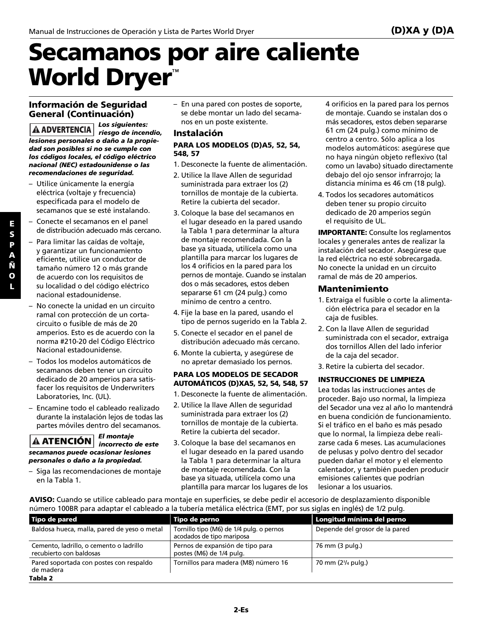# **Secamanos por aire caliente World Dryer**™

#### **Información de Seguridad General (Continuación)**

*Los siguientes:* **A ADVERTENCIA** *riesgo de incendio, lesiones personales o daño a la propiedad son posibles si no se cumple con los códigos locales, el código eléctrico nacional (NEC) estadounidense o las recomendaciones de seguridad.*

- Utilice únicamente la energía eléctrica (voltaje y frecuencia) especificada para el modelo de secamanos que se esté instalando.
- Conecte el secamanos en el panel de distribución adecuado más cercano.
- Para limitar las caídas de voltaje, y garantizar un funcionamiento eficiente, utilice un conductor de tamaño número 12 o más grande de acuerdo con los requisitos de su localidad o del código eléctrico nacional estadounidense.
- No conecte la unidad en un circuito ramal con protección de un cortacircuito o fusible de más de 20 amperios. Esto es de acuerdo con la norma #210-20 del Código Eléctrico Nacional estadounidense.
- Todos los modelos automáticos de secamanos deben tener un circuito dedicado de 20 amperios para satisfacer los requisitos de Underwriters Laboratories, Inc. (UL).
- Encamine todo el cableado realizado durante la instalación lejos de todas las partes móviles dentro del secamanos.

#### *El montaje incorrecto de este secamanos puede ocasionar lesiones personales o daño a la propiedad.*

– Siga las recomendaciones de montaje en la Tabla 1.

– En una pared con postes de soporte, se debe montar un lado del secamanos en un poste existente.

#### **Instalación**

#### **PARA LOS MODELOS (D)A5, 52, 54, 548, 57**

- 1. Desconecte la fuente de alimentación.
- 2. Utilice la llave Allen de seguridad suministrada para extraer los (2) tornillos de montaje de la cubierta. Retire la cubierta del secador.
- 3. Coloque la base del secamanos en el lugar deseado en la pared usando la Tabla 1 para determinar la altura de montaje recomendada. Con la base ya situada, utilícela como una plantilla para marcar los lugares de los 4 orificios en la pared para los pernos de montaje. Cuando se instalan dos o más secadores, estos deben separarse 61 cm (24 pulg.) como mínimo de centro a centro.
- 4. Fije la base en la pared, usando el tipo de pernos sugerido en la Tabla 2.
- 5. Conecte el secador en el panel de distribución adecuado más cercano.
- 6. Monte la cubierta, y asegúrese de no apretar demasiado los pernos.

#### **PARA LOS MODELOS DE SECADOR AUTOMÁTICOS (D)XA5, 52, 54, 548, 57**

- 1. Desconecte la fuente de alimentación.
- 2. Utilice la llave Allen de seguridad suministrada para extraer los (2) tornillos de montaje de la cubierta. Retire la cubierta del secador.
- 3. Coloque la base del secamanos en el lugar deseado en la pared usando la Tabla 1 para determinar la altura de montaje recomendada. Con la base ya situada, utilícela como una plantilla para marcar los lugares de los

4 orificios en la pared para los pernos de montaje. Cuando se instalan dos o más secadores, estos deben separarse 61 cm (24 pulg.) como mínimo de centro a centro. Sólo aplica a los modelos automáticos: asegúrese que no haya ningún objeto reflexivo (tal como un lavabo) situado directamente debajo del ojo sensor infrarrojo; la distancia mínima es 46 cm (18 pulg).

4. Todos los secadores automáticos deben tener su propio circuito dedicado de 20 amperios según el requisito de UL.

**IMPORTANTE:** Consulte los reglamentos locales y generales antes de realizar la instalación del secador. Asegúrese que la red eléctrica no esté sobrecargada. No conecte la unidad en un circuito ramal de más de 20 amperios.

#### **Mantenimiento**

- 1. Extraiga el fusible o corte la alimentación eléctrica para el secador en la caja de fusibles.
- 2. Con la llave Allen de seguridad suministrada con el secador, extraiga dos tornillos Allen del lado inferior de la caja del secador.
- 3. Retire la cubierta del secador.

#### **INSTRUCCIONES DE LIMPIEZA**

Lea todas las instrucciones antes de proceder. Bajo uso normal, la limpieza del Secador una vez al año lo mantendrá en buena condición de funcionamiento. Si el tráfico en el baño es más pesado que lo normal, la limpieza debe realizarse cada 6 meses. Las acumulaciones de pelusas y polvo dentro del secador pueden dañar el motor y el elemento calentador, y también pueden producir emisiones calientes que podrían lesionar a los usuarios.

**AVISO:** Cuando se utilice cableado para montaje en superficies, se debe pedir el accesorio de desplazamiento disponible número 100BR para adaptar el cableado a la tubería metálica eléctrica (EMT, por sus siglas en inglés) de 1/2 pulg.

| Tipo de pared                                                      | Tipo de perno                                                         | Longitud mínima del perno                   |
|--------------------------------------------------------------------|-----------------------------------------------------------------------|---------------------------------------------|
| Baldosa hueca, malla, pared de yeso o metal                        | Tornillo tipo (M6) de 1/4 pulg. o pernos<br>acodados de tipo mariposa | Depende del grosor de la pared              |
| Cemento, ladrillo, o cemento o ladrillo<br>recubierto con baldosas | Pernos de expansión de tipo para<br>postes (M6) de 1/4 pulg.          | 76 mm (3 pulg.)                             |
| Pared soportada con postes con respaldo<br>de madera               | Tornillos para madera (M8) número 16                                  | 70 mm (2 <sup>3</sup> / <sub>4</sub> pulg.) |
| Tabla 2                                                            |                                                                       |                                             |

**E**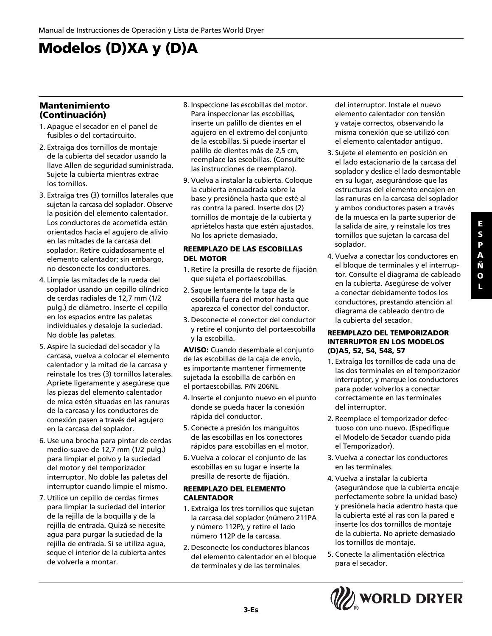## **Modelos (D)XA y (D)A**

#### **Mantenimiento (Continuación)**

- 1. Apague el secador en el panel de fusibles o del cortacircuito.
- 2. Extraiga dos tornillos de montaje de la cubierta del secador usando la llave Allen de seguridad suministrada. Sujete la cubierta mientras extrae los tornillos.
- 3. Extraiga tres (3) tornillos laterales que sujetan la carcasa del soplador. Observe la posición del elemento calentador. Los conductores de acometida están orientados hacia el agujero de alivio en las mitades de la carcasa del soplador. Retire cuidadosamente el elemento calentador; sin embargo, no desconecte los conductores.
- 4. Limpie las mitades de la rueda del soplador usando un cepillo cilíndrico de cerdas radiales de 12,7 mm (1/2 pulg.) de diámetro. Inserte el cepillo en los espacios entre las paletas individuales y desaloje la suciedad. No doble las paletas.
- 5. Aspire la suciedad del secador y la carcasa, vuelva a colocar el elemento calentador y la mitad de la carcasa y reinstale los tres (3) tornillos laterales. Apriete ligeramente y asegúrese que las piezas del elemento calentador de mica estén situadas en las ranuras de la carcasa y los conductores de conexión pasen a través del agujero en la carcasa del soplador.
- 6. Use una brocha para pintar de cerdas medio-suave de 12,7 mm (1/2 pulg.) para limpiar el polvo y la suciedad del motor y del temporizador interruptor. No doble las paletas del interruptor cuando limpie el mismo.
- 7. Utilice un cepillo de cerdas firmes para limpiar la suciedad del interior de la rejilla de la boquilla y de la rejilla de entrada. Quizá se necesite agua para purgar la suciedad de la rejilla de entrada. Si se utiliza agua, seque el interior de la cubierta antes de volverla a montar.
- 8. Inspeccione las escobillas del motor. Para inspeccionar las escobillas, inserte un palillo de dientes en el agujero en el extremo del conjunto de la escobillas. Si puede insertar el palillo de dientes más de 2,5 cm, reemplace las escobillas. (Consulte las instrucciones de reemplazo).
- 9. Vuelva a instalar la cubierta. Coloque la cubierta encuadrada sobre la base y presiónela hasta que esté al ras contra la pared. Inserte dos (2) tornillos de montaje de la cubierta y apriételos hasta que estén ajustados. No los apriete demasiado.

#### **REEMPLAZO DE LAS ESCOBILLAS DEL MOTOR**

- 1. Retire la presilla de resorte de fijación que sujeta el portaescobillas.
- 2. Saque lentamente la tapa de la escobilla fuera del motor hasta que aparezca el conector del conductor.
- 3. Desconecte el conector del conductor y retire el conjunto del portaescobilla y la escobilla.

**AVISO:** Cuando desembale el conjunto de las escobillas de la caja de envío, es importante mantener firmemente sujetada la escobilla de carbón en el portaescobillas. P/N 206NL

- 4. Inserte el conjunto nuevo en el punto donde se pueda hacer la conexión rápida del conductor.
- 5. Conecte a presión los manguitos de las escobillas en los conectores rápidos para escobillas en el motor.
- 6. Vuelva a colocar el conjunto de las escobillas en su lugar e inserte la presilla de resorte de fijación.

#### **REEMPLAZO DEL ELEMENTO CALENTADOR**

- 1. Extraiga los tres tornillos que sujetan la carcasa del soplador (número 211PA y número 112P), y retire el lado número 112P de la carcasa.
- 2. Desconecte los conductores blancos del elemento calentador en el bloque de terminales y de las terminales

del interruptor. Instale el nuevo elemento calentador con tensión y vataje correctos, observando la misma conexión que se utilizó con el elemento calentador antiguo.

- 3. Sujete el elemento en posición en el lado estacionario de la carcasa del soplador y deslice el lado desmontable en su lugar, asegurándose que las estructuras del elemento encajen en las ranuras en la carcasa del soplador y ambos conductores pasen a través de la muesca en la parte superior de la salida de aire, y reinstale los tres tornillos que sujetan la carcasa del soplador.
- 4. Vuelva a conectar los conductores en el bloque de terminales y el interruptor. Consulte el diagrama de cableado en la cubierta. Asegúrese de volver a conectar debidamente todos los conductores, prestando atención al diagrama de cableado dentro de la cubierta del secador.

#### **REEMPLAZO DEL TEMPORIZADOR INTERRUPTOR EN LOS MODELOS (D)A5, 52, 54, 548, 57**

- 1. Extraiga los tornillos de cada una de las dos terminales en el temporizador interruptor, y marque los conductores para poder volverlos a conectar correctamente en las terminales del interruptor.
- 2. Reemplace el temporizador defectuoso con uno nuevo. (Especifique el Modelo de Secador cuando pida el Temporizador).
- 3. Vuelva a conectar los conductores en las terminales.
- 4. Vuelva a instalar la cubierta (asegurándose que la cubierta encaje perfectamente sobre la unidad base) y presiónela hacia adentro hasta que la cubierta esté al ras con la pared e inserte los dos tornillos de montaje de la cubierta. No apriete demasiado los tornillos de montaje.
- 5. Conecte la alimentación eléctrica para el secador.

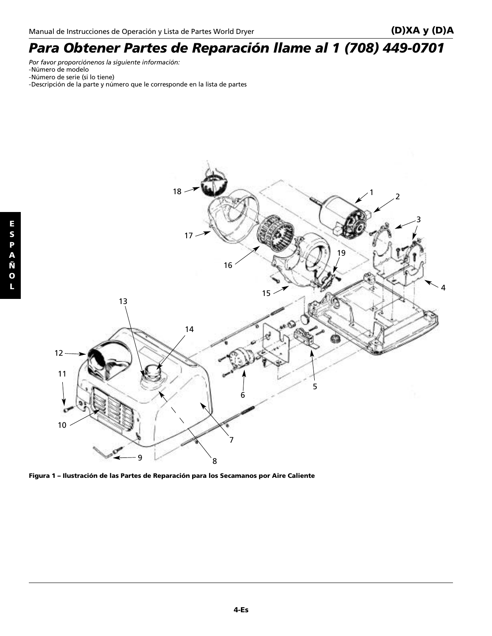## *Para Obtener Partes de Reparación llame al 1 (708) 449-0701*

*Por favor proporciónenos la siguiente información:*

- -Número de modelo
- -Número de serie (si lo tiene)
- -Descripción de la parte y número que le corresponde en la lista de partes



**Figura 1 – Ilustración de las Partes de Reparación para los Secamanos por Aire Caliente**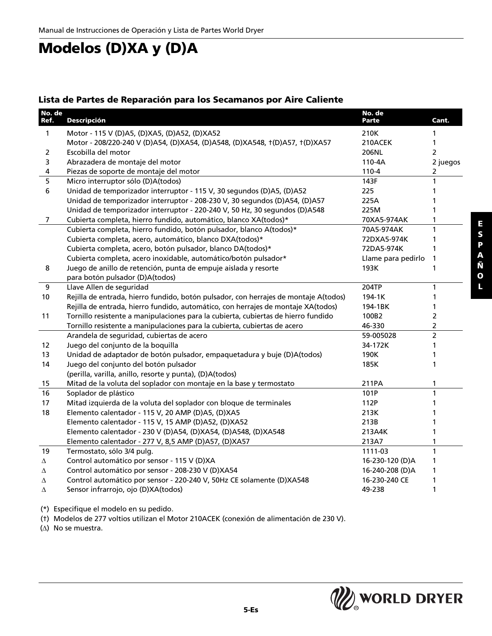### **Modelos (D)XA y (D)A**

#### **Lista de Partes de Reparación para los Secamanos por Aire Caliente**

| No. de<br>Ref. | <b>Descripción</b>                                                                   | No. de<br>Parte    | Cant.          |
|----------------|--------------------------------------------------------------------------------------|--------------------|----------------|
| 1              | Motor - 115 V (D)A5, (D)XA5, (D)A52, (D)XA52                                         | 210K               | 1              |
|                | Motor - 208/220-240 V (D)A54, (D)XA54, (D)A548, (D)XA548, t(D)A57, t(D)XA57          | 210ACEK            | 1              |
| $\overline{2}$ | Escobilla del motor                                                                  | 206NL              | $\overline{2}$ |
| 3              | Abrazadera de montaje del motor                                                      | 110-4A             | 2 juegos       |
| 4              | Piezas de soporte de montaje del motor                                               | $110 - 4$          | 2              |
| 5              | Micro interruptor sólo (D)A(todos)                                                   | 143F               | 1              |
| 6              | Unidad de temporizador interruptor - 115 V, 30 segundos (D)A5, (D)A52                | 225                | 1              |
|                | Unidad de temporizador interruptor - 208-230 V, 30 segundos (D)A54, (D)A57           | 225A               | 1              |
|                | Unidad de temporizador interruptor - 220-240 V, 50 Hz, 30 segundos (D)A548           | 225M               | 1              |
| 7              | Cubierta completa, hierro fundido, automático, blanco XA(todos)*                     | 70XA5-974AK        | 1              |
|                | Cubierta completa, hierro fundido, botón pulsador, blanco A(todos)*                  | 70A5-974AK         | $\mathbf{1}$   |
|                | Cubierta completa, acero, automático, blanco DXA(todos)*                             | 72DXA5-974K        | 1              |
|                | Cubierta completa, acero, botón pulsador, blanco DA(todos)*                          | 72DA5-974K         | 1              |
|                | Cubierta completa, acero inoxidable, automático/botón pulsador*                      | Llame para pedirlo | 1              |
| 8              | Juego de anillo de retención, punta de empuje aislada y resorte                      | 193K               | 1              |
|                | para botón pulsador (D)A(todos)                                                      |                    |                |
| 9              | Llave Allen de seguridad                                                             | 204TP              | 1              |
| 10             | Rejilla de entrada, hierro fundido, botón pulsador, con herrajes de montaje A(todos) | 194-1K             | 1              |
|                | Rejilla de entrada, hierro fundido, automático, con herrajes de montaje XA(todos)    | 194-1BK            | 1              |
| 11             | Tornillo resistente a manipulaciones para la cubierta, cubiertas de hierro fundido   | 100B2              | 2              |
|                | Tornillo resistente a manipulaciones para la cubierta, cubiertas de acero            | 46-330             | $\overline{2}$ |
|                | Arandela de seguridad, cubiertas de acero                                            | 59-005028          | $\overline{2}$ |
| 12             | Juego del conjunto de la boquilla                                                    | 34-172K            | 1              |
| 13             | Unidad de adaptador de botón pulsador, empaquetadura y buje (D)A(todos)              | 190K               | 1              |
| 14             | Juego del conjunto del botón pulsador                                                | 185K               | 1              |
|                | (perilla, varilla, anillo, resorte y punta), (D)A(todos)                             |                    |                |
| 15             | Mitad de la voluta del soplador con montaje en la base y termostato                  | 211PA              | 1              |
| 16             | Soplador de plástico                                                                 | 101P               | $\mathbf{1}$   |
| 17             | Mitad izquierda de la voluta del soplador con bloque de terminales                   | 112P               | 1              |
| 18             | Elemento calentador - 115 V, 20 AMP (D)A5, (D)XA5                                    | 213K               | 1              |
|                | Elemento calentador - 115 V, 15 AMP (D)A52, (D)XA52                                  | 213B               | 1              |
|                | Elemento calentador - 230 V (D)A54, (D)XA54, (D)A548, (D)XA548                       | 213A4K             | 1              |
|                | Elemento calentador - 277 V, 8,5 AMP (D)A57, (D)XA57                                 | 213A7              | 1              |
| 19             | Termostato, sólo 3/4 pulg.                                                           | 1111-03            | $\mathbf{1}$   |
| Δ              | Control automático por sensor - 115 V (D)XA                                          | 16-230-120 (D)A    | 1              |
| Δ              | Control automático por sensor - 208-230 V (D)XA54                                    | 16-240-208 (D)A    | 1              |
| Δ              | Control automático por sensor - 220-240 V, 50Hz CE solamente (D)XA548                | 16-230-240 CE      | 1              |
| Δ              | Sensor infrarrojo, ojo (D)XA(todos)                                                  | 49-238             | 1              |

(\*) Especifique el modelo en su pedido.

(†) Modelos de 277 voltios utilizan el Motor 210ACEK (conexión de alimentación de 230 V).

(∆) No se muestra.

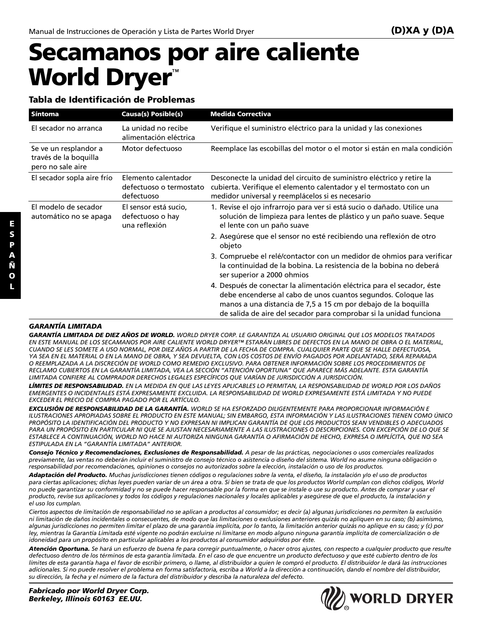# **Secamanos por aire caliente World Dryer**™

#### **Tabla de Identificación de Problemas**

| <b>Síntoma</b>                                                      | <b>Causa(s) Posible(s)</b>                                   | <b>Medida Correctiva</b>                                                                                                                                                                                                                                                        |
|---------------------------------------------------------------------|--------------------------------------------------------------|---------------------------------------------------------------------------------------------------------------------------------------------------------------------------------------------------------------------------------------------------------------------------------|
| El secador no arranca                                               | La unidad no recibe<br>alimentación eléctrica                | Verifique el suministro eléctrico para la unidad y las conexiones                                                                                                                                                                                                               |
| Se ve un resplandor a<br>través de la boquilla<br>pero no sale aire | Motor defectuoso                                             | Reemplace las escobillas del motor o el motor si están en mala condición                                                                                                                                                                                                        |
| El secador sopla aire frío                                          | Elemento calentador<br>defectuoso o termostato<br>defectuoso | Desconecte la unidad del circuito de suministro eléctrico y retire la<br>cubierta. Verifique el elemento calentador y el termostato con un<br>medidor universal y reemplácelos si es necesario                                                                                  |
| El modelo de secador<br>automático no se apaga                      | El sensor está sucio,<br>defectuoso o hay<br>una reflexión   | 1. Revise el ojo infrarrojo para ver si está sucio o dañado. Utilice una<br>solución de limpieza para lentes de plástico y un paño suave. Seque<br>el lente con un paño suave                                                                                                   |
|                                                                     |                                                              | 2. Asegúrese que el sensor no esté recibiendo una reflexión de otro<br>objeto                                                                                                                                                                                                   |
|                                                                     |                                                              | 3. Compruebe el relé/contactor con un medidor de ohmios para verificar<br>la continuidad de la bobina. La resistencia de la bobina no deberá<br>ser superior a 2000 ohmios                                                                                                      |
|                                                                     |                                                              | 4. Después de conectar la alimentación eléctrica para el secador, éste<br>debe encenderse al cabo de unos cuantos segundos. Coloque las<br>manos a una distancia de 7,5 a 15 cm por debajo de la boquilla<br>de salida de aire del secador para comprobar si la unidad funciona |

#### *GARANTÍA LIMITADA*

*GARANTÍA LIMITADA DE DIEZ AÑOS DE WORLD. WORLD DRYER CORP. LE GARANTIZA AL USUARIO ORIGINAL QUE LOS MODELOS TRATADOS EN ESTE MANUAL DE LOS SECAMANOS POR AIRE CALIENTE WORLD DRYER™ ESTARÁN LIBRES DE DEFECTOS EN LA MANO DE OBRA O EL MATERIAL, CUANDO SE LES SOMETE A USO NORMAL, POR DIEZ AÑOS A PARTIR DE LA FECHA DE COMPRA. CUALQUIER PARTE QUE SE HALLE DEFECTUOSA, YA SEA EN EL MATERIAL O EN LA MANO DE OBRA, Y SEA DEVUELTA, CON LOS COSTOS DE ENVÍO PAGADOS POR ADELANTADO, SERÁ REPARADA O REEMPLAZADA A LA DISCRECIÓN DE WORLD COMO REMEDIO EXCLUSIVO. PARA OBTENER INFORMACIÓN SOBRE LOS PROCEDIMIENTOS DE RECLAMO CUBIERTOS EN LA GARANTÍA LIMITADA, VEA LA SECCIÓN "ATENCIÓN OPORTUNA" QUE APARECE MÁS ADELANTE. ESTA GARANTÍA LIMITADA CONFIERE AL COMPRADOR DERECHOS LEGALES ESPECÍFICOS QUE VARÍAN DE JURISDICCIÓN A JURISDICCIÓN.*

*LÍMITES DE RESPONSABILIDAD. EN LA MEDIDA EN QUE LAS LEYES APLICABLES LO PERMITAN, LA RESPONSABILIDAD DE WORLD POR LOS DAÑOS EMERGENTES O INCIDENTALES ESTÁ EXPRESAMENTE EXCLUIDA. LA RESPONSABILIDAD DE WORLD EXPRESAMENTE ESTÁ LIMITADA Y NO PUEDE EXCEDER EL PRECIO DE COMPRA PAGADO POR EL ARTÍCULO.*

*EXCLUSIÓN DE RESPONSABILIDAD DE LA GARANTÍA. WORLD SE HA ESFORZADO DILIGENTEMENTE PARA PROPORCIONAR INFORMACIÓN E ILUSTRACIONES APROPIADAS SOBRE EL PRODUCTO EN ESTE MANUAL; SIN EMBARGO, ESTA INFORMACIÓN Y LAS ILUSTRACIONES TIENEN COMO ÚNICO PROPÓSITO LA IDENTIFICACIÓN DEL PRODUCTO Y NO EXPRESAN NI IMPLICAN GARANTÍA DE QUE LOS PRODUCTOS SEAN VENDIBLES O ADECUADOS PARA UN PROPÓSITO EN PARTICULAR NI QUE SE AJUSTAN NECESARIAMENTE A LAS ILUSTRACIONES O DESCRIPCIONES. CON EXCEPCIÓN DE LO QUE SE ESTABLECE A CONTINUACIÓN, WORLD NO HACE NI AUTORIZA NINGUNA GARANTÍA O AFIRMACIÓN DE HECHO, EXPRESA O IMPLÍCITA, QUE NO SEA ESTIPULADA EN LA "GARANTÍA LIMITADA" ANTERIOR.*

*Consejo Técnico y Recomendaciones, Exclusiones de Responsabilidad. A pesar de las prácticas, negociaciones o usos comerciales realizados previamente, las ventas no deberán incluir el suministro de consejo técnico o asistencia o diseño del sistema. World no asume ninguna obligación o responsabilidad por recomendaciones, opiniones o consejos no autorizados sobre la elección, instalación o uso de los productos.*

*Adaptación del Producto. Muchas jurisdicciones tienen códigos o regulaciones sobre la venta, el diseño, la instalación y/o el uso de productos para ciertas aplicaciones; dichas leyes pueden variar de un área a otra. Si bien se trata de que los productos World cumplan con dichos códigos, World no puede garantizar su conformidad y no se puede hacer responsable por la forma en que se instale o use su producto. Antes de comprar y usar el producto, revise sus aplicaciones y todos los códigos y regulaciones nacionales y locales aplicables y asegúrese de que el producto, la instalación y el uso los cumplan.*

*Ciertos aspectos de limitación de responsabilidad no se aplican a productos al consumidor; es decir (a) algunas jurisdicciones no permiten la exclusión ni limitación de daños incidentales o consecuentes, de modo que las limitaciones o exclusiones anteriores quizás no apliquen en su caso; (b) asimismo, algunas jurisdicciones no permiten limitar el plazo de una garantía implícita, por lo tanto, la limitación anterior quizás no aplique en su caso; y (c) por ley, mientras la Garantía Limitada esté vigente no podrán excluirse ni limitarse en modo alguno ninguna garantía implícita de comercialización o de idoneidad para un propósito en particular aplicables a los productos al consumidor adquiridos por éste.*

*Atención Oportuna. Se hará un esfuerzo de buena fe para corregir puntualmente, o hacer otros ajustes, con respecto a cualquier producto que resulte defectuoso dentro de los términos de esta garantía limitada. En el caso de que encuentre un producto defectuoso y que esté cubierto dentro de los límites de esta garantía haga el favor de escribir primero, o llame, al distribuidor a quien le compró el producto. El distribuidor le dará las instrucciones adicionales. Si no puede resolver el problema en forma satisfactoria, escriba a World a la dirección a continuación, dando el nombre del distribuidor, su dirección, la fecha y el número de la factura del distribuidor y describa la naturaleza del defecto.*

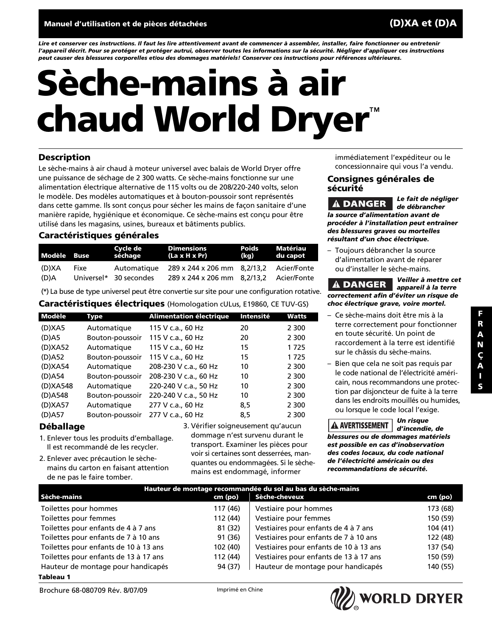*Lire et conserver ces instructions. Il faut les lire attentivement avant de commencer à assembler, installer, faire fonctionner ou entretenir l'appareil décrit. Pour se protéger et protéger autrui, observer toutes les informations sur la sécurité. Négliger d'appliquer ces instructions peut causer des blessures corporelles et/ou des dommages matériels! Conserver ces instructions pour références ultérieures.*

# **Sèche-mains à air chaud World Dryer**™

#### **Description**

Le sèche-mains à air chaud à moteur universel avec balais de World Dryer offre une puissance de séchage de 2 300 watts. Ce sèche-mains fonctionne sur une alimentation électrique alternative de 115 volts ou de 208/220-240 volts, selon le modèle. Des modèles automatiques et à bouton-poussoir sont représentés dans cette gamme. Ils sont conçus pour sécher les mains de façon sanitaire d'une manière rapide, hygiénique et économique. Ce sèche-mains est conçu pour être utilisé dans les magasins, usines, bureaux et bâtiments publics.

#### **Caractéristiques générales**

| Modèle Buse   |      | Cycle de<br>séchage                   | <b>Dimensions</b><br>$(La \times H \times Pr)$                                     | Poids<br>(kg) | Matériau<br>du capot |
|---------------|------|---------------------------------------|------------------------------------------------------------------------------------|---------------|----------------------|
| (D)XA<br>(D)A | Fixe | Automatique<br>Universel* 30 secondes | 289 x 244 x 206 mm 8,2/13,2 Acier/Fonte<br>289 x 244 x 206 mm 8,2/13,2 Acier/Fonte |               |                      |

(\*) La buse de type universel peut être convertie sur site pour une configuration rotative.

#### **Caractéristiques électriques** (Homologation cULus, E19860, CE TUV-GS)

| Modèle   | Type            | <b>Alimentation électrique</b> | Intensité | Watts   | - Ce sèche-mains doit être mis à la      |
|----------|-----------------|--------------------------------|-----------|---------|------------------------------------------|
| (D)XA5   | Automatique     | 115 V c.a., 60 Hz              | 20        | 2 3 0 0 | terre correctement pour fonctionner      |
| $(D)$ A5 | Bouton-poussoir | 115 V c.a., 60 Hz              | 20        | 2 3 0 0 | en toute sécurité. Un point de           |
| (D)XA52  | Automatique     | 115 V c.a., 60 Hz              | 15        | 1725    | raccordement à la terre est identifié    |
| (D)A52   | Bouton-poussoir | 115 V c.a., 60 Hz              | 15        | 1725    | sur le châssis du sèche-mains.           |
| (D)XA54  | Automatique     | 208-230 V c.a., 60 Hz          | 10        | 2 3 0 0 | - Bien que cela ne soit pas requis par   |
| (D)A54   | Bouton-poussoir | 208-230 V c.a., 60 Hz          | 10        | 2 3 0 0 | le code national de l'électricité améri- |
| (D)XA548 | Automatique     | 220-240 V c.a., 50 Hz          | 10        | 2 3 0 0 | cain, nous recommandons une protec-      |
| (D)A548  | Bouton-poussoir | 220-240 V c.a., 50 Hz          | 10        | 2 3 0 0 | tion par disjoncteur de fuite à la terre |
| (D)XA57  | Automatique     | 277 V c.a., 60 Hz              | 8.5       | 2 3 0 0 | dans les endroits mouillés ou humides,   |
| (D)A57   | Bouton-poussoir | 277 V c.a., 60 Hz              | 8,5       | 2 3 0 0 | ou lorsque le code local l'exige.        |

#### **Déballage**

- 1. Enlever tous les produits d'emballage. Il est recommandé de les recycler.
- 2. Enlever avec précaution le sèchemains du carton en faisant attention de ne pas le faire tomber.

3. Vérifier soigneusement qu'aucun dommage n'est survenu durant le transport. Examiner les pièces pour voir si certaines sont desserrées, manquantes ou endommagées. Si le sèchemains est endommagé, informer

immédiatement l'expéditeur ou le concessionnaire qui vous l'a vendu.

#### **Consignes générales de sécurité**

*Le fait de négliger* **A DANGER** *de débrancher la source d'alimentation avant de procéder à l'installation peut entraîner des blessures graves ou mortelles résultant d'un choc électrique.*

– Toujours débrancher la source d'alimentation avant de réparer ou d'installer le sèche-mains.

*Veiller à mettre cet* **A DANGER** *appareil à la terre correctement afin d'éviter un risque de choc électrique grave, voire mortel.*

- terre correctement pour fonctionner en toute sécurité. Un point de raccordement à la terre est identifié sur le châssis du sèche-mains.
- Bien que cela ne soit pas requis par le code national de l'électricité américain, nous recommandons une protection par disjoncteur de fuite à la terre dans les endroits mouillés ou humides, ou lorsque le code local l'exige.

*Un risque d'incendie, de blessures ou de dommages matériels est possible en cas d'inobservation des codes locaux, du code national de l'électricité américain ou des recommandations de sécurité.*

| Hauteur de montage recommandée du sol au bas du sèche-mains |          |                                        |          |  |  |
|-------------------------------------------------------------|----------|----------------------------------------|----------|--|--|
| Sèche-mains                                                 | cm (po)  | Sèche-cheveux                          | cm (po)  |  |  |
| Toilettes pour hommes                                       | 117 (46) | Vestiaire pour hommes                  | 173 (68) |  |  |
| Toilettes pour femmes                                       | 112 (44) | Vestiaire pour femmes                  | 150 (59) |  |  |
| Toilettes pour enfants de 4 à 7 ans                         | 81 (32)  | Vestiaires pour enfants de 4 à 7 ans   | 104(41)  |  |  |
| Toilettes pour enfants de 7 à 10 ans                        | 91 (36)  | Vestiaires pour enfants de 7 à 10 ans  | 122 (48) |  |  |
| Toilettes pour enfants de 10 à 13 ans                       | 102 (40) | Vestiaires pour enfants de 10 à 13 ans | 137 (54) |  |  |
| Toilettes pour enfants de 13 à 17 ans                       | 112 (44) | Vestiaires pour enfants de 13 à 17 ans | 150 (59) |  |  |
| Hauteur de montage pour handicapés                          | 94 (37)  | Hauteur de montage pour handicapés     | 140 (55) |  |  |

#### **Tableau 1**

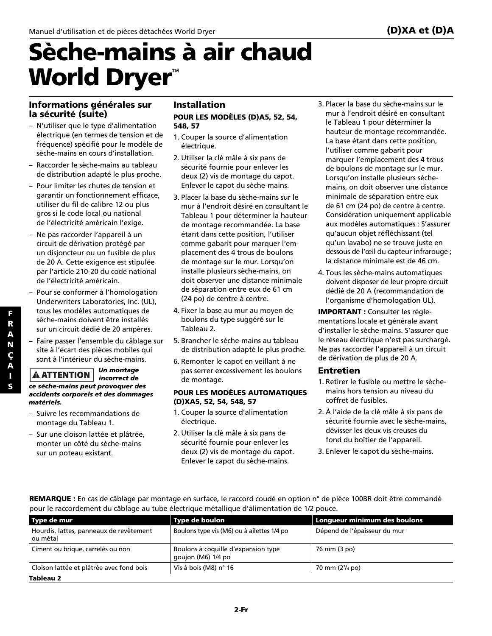# **Sèche-mains à air chaud World Dryer**™

#### **Informations générales sur la sécurité (suite)**

- N'utiliser que le type d'alimentation électrique (en termes de tension et de fréquence) spécifié pour le modèle de sèche-mains en cours d'installation.
- Raccorder le sèche-mains au tableau de distribution adapté le plus proche.
- Pour limiter les chutes de tension et garantir un fonctionnement efficace, utiliser du fil de calibre 12 ou plus gros si le code local ou national de l'électricité américain l'exige.
- Ne pas raccorder l'appareil à un circuit de dérivation protégé par un disjoncteur ou un fusible de plus de 20 A. Cette exigence est stipulée par l'article 210-20 du code national de l'électricité américain.
- Pour se conformer à l'homologation Underwriters Laboratories, Inc. (UL), tous les modèles automatiques de sèche-mains doivent être installés sur un circuit dédié de 20 ampères.
- Faire passer l'ensemble du câblage sur site à l'écart des pièces mobiles qui sont à l'intérieur du sèche-mains.

#### *Un montage* **A ATTENTION** *incorrect de ce sèche-mains peut provoquer des accidents corporels et des dommages matériels.*

- Suivre les recommandations de montage du Tableau 1.
- Sur une cloison lattée et plâtrée, monter un côté du sèche-mains sur un poteau existant.

#### **Installation POUR LES MODÈLES (D)A5, 52, 54, 548, 57**

- 1. Couper la source d'alimentation électrique.
- 2. Utiliser la clé mâle à six pans de sécurité fournie pour enlever les deux (2) vis de montage du capot. Enlever le capot du sèche-mains.
- 3. Placer la base du sèche-mains sur le mur à l'endroit désiré en consultant le Tableau 1 pour déterminer la hauteur de montage recommandée. La base étant dans cette position, l'utiliser comme gabarit pour marquer l'emplacement des 4 trous de boulons de montage sur le mur. Lorsqu'on installe plusieurs sèche-mains, on doit observer une distance minimale de séparation entre eux de 61 cm (24 po) de centre à centre.
- 4. Fixer la base au mur au moyen de boulons du type suggéré sur le Tableau 2.
- 5. Brancher le sèche-mains au tableau de distribution adapté le plus proche.
- 6. Remonter le capot en veillant à ne pas serrer excessivement les boulons de montage.

#### **POUR LES MODÈLES AUTOMATIQUES (D)XA5, 52, 54, 548, 57**

- 1. Couper la source d'alimentation électrique.
- 2. Utiliser la clé mâle à six pans de sécurité fournie pour enlever les deux (2) vis de montage du capot. Enlever le capot du sèche-mains.
- 3. Placer la base du sèche-mains sur le mur à l'endroit désiré en consultant le Tableau 1 pour déterminer la hauteur de montage recommandée. La base étant dans cette position, l'utiliser comme gabarit pour marquer l'emplacement des 4 trous de boulons de montage sur le mur. Lorsqu'on installe plusieurs sèchemains, on doit observer une distance minimale de séparation entre eux de 61 cm (24 po) de centre à centre. Considération uniquement applicable aux modèles automatiques : S'assurer qu'aucun objet réfléchissant (tel qu'un lavabo) ne se trouve juste en dessous de l'œil du capteur infrarouge ; la distance minimale est de 46 cm.
- 4. Tous les sèche-mains automatiques doivent disposer de leur propre circuit dédié de 20 A (recommandation de l'organisme d'homologation UL).

**IMPORTANT :** Consulter les réglementations locale et générale avant d'installer le sèche-mains. S'assurer que le réseau électrique n'est pas surchargé. Ne pas raccorder l'appareil à un circuit de dérivation de plus de 20 A.

#### **Entretien**

- 1. Retirer le fusible ou mettre le sèchemains hors tension au niveau du coffret de fusibles.
- 2. À l'aide de la clé mâle à six pans de sécurité fournie avec le sèche-mains, dévisser les deux vis creuses du fond du boîtier de l'appareil.
- 3. Enlever le capot du sèche-mains.

| REMARQUE : En cas de câblage par montage en surface, le raccord coudé en option n° de pièce 100BR doit être commandé |
|----------------------------------------------------------------------------------------------------------------------|
| pour le raccordement du câblage au tube électrique métallique d'alimentation de 1/2 pouce.                           |

| Type de mur                                         | Type de boulon                                            | Longueur minimum des boulons |
|-----------------------------------------------------|-----------------------------------------------------------|------------------------------|
| Hourdis, lattes, panneaux de revêtement<br>ou métal | Boulons type vis (M6) ou à ailettes 1/4 po                | Dépend de l'épaisseur du mur |
| Ciment ou brique, carrelés ou non                   | Boulons à coquille d'expansion type<br>goujon (M6) 1/4 po | 76 mm (3 po)                 |
| Cloison lattée et plâtrée avec fond bois            | Vis à bois (M8) n° 16                                     | 70 mm (2 <sup>3</sup> /4 po) |
| Tableau 2                                           |                                                           |                              |

**F R**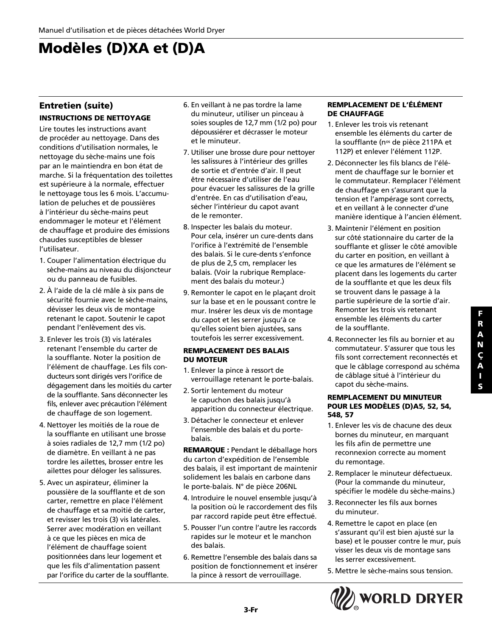## **Modèles (D)XA et (D)A**

#### **Entretien (suite) INSTRUCTIONS DE NETTOYAGE**

Lire toutes les instructions avant de procéder au nettoyage. Dans des conditions d'utilisation normales, le nettoyage du sèche-mains une fois par an le maintiendra en bon état de marche. Si la fréquentation des toilettes est supérieure à la normale, effectuer le nettoyage tous les 6 mois. L'accumulation de peluches et de poussières à l'intérieur du sèche-mains peut endommager le moteur et l'élément de chauffage et produire des émissions chaudes susceptibles de blesser l'utilisateur.

- 1. Couper l'alimentation électrique du sèche-mains au niveau du disjoncteur ou du panneau de fusibles.
- 2. À l'aide de la clé mâle à six pans de sécurité fournie avec le sèche-mains, dévisser les deux vis de montage retenant le capot. Soutenir le capot pendant l'enlèvement des vis.
- 3. Enlever les trois (3) vis latérales retenant l'ensemble du carter de la soufflante. Noter la position de l'élément de chauffage. Les fils conducteurs sont dirigés vers l'orifice de dégagement dans les moitiés du carter de la soufflante. Sans déconnecter les fils, enlever avec précaution l'élément de chauffage de son logement.
- 4. Nettoyer les moitiés de la roue de la soufflante en utilisant une brosse à soies radiales de 12,7 mm (1/2 po) de diamètre. En veillant à ne pas tordre les ailettes, brosser entre les ailettes pour déloger les salissures.
- 5. Avec un aspirateur, éliminer la poussière de la soufflante et de son carter, remettre en place l'élément de chauffage et sa moitié de carter, et revisser les trois (3) vis latérales. Serrer avec modération en veillant à ce que les pièces en mica de l'élément de chauffage soient positionnées dans leur logement et que les fils d'alimentation passent par l'orifice du carter de la soufflante.
- 6. En veillant à ne pas tordre la lame du minuteur, utiliser un pinceau à soies souples de 12,7 mm (1/2 po) pour dépoussiérer et décrasser le moteur et le minuteur.
- 7. Utiliser une brosse dure pour nettoyer les salissures à l'intérieur des grilles de sortie et d'entrée d'air. Il peut être nécessaire d'utiliser de l'eau pour évacuer les salissures de la grille d'entrée. En cas d'utilisation d'eau, sécher l'intérieur du capot avant de le remonter.
- 8. Inspecter les balais du moteur. Pour cela, insérer un cure-dents dans l'orifice à l'extrémité de l'ensemble des balais. Si le cure-dents s'enfonce de plus de 2,5 cm, remplacer les balais. (Voir la rubrique Remplacement des balais du moteur.)
- 9. Remonter le capot en le plaçant droit sur la base et en le poussant contre le mur. Insérer les deux vis de montage du capot et les serrer jusqu'à ce qu'elles soient bien ajustées, sans toutefois les serrer excessivement.

#### **REMPLACEMENT DES BALAIS DU MOTEUR**

- 1. Enlever la pince à ressort de verrouillage retenant le porte-balais.
- 2. Sortir lentement du moteur le capuchon des balais jusqu'à apparition du connecteur électrique.
- 3. Détacher le connecteur et enlever l'ensemble des balais et du portebalais.

**REMARQUE :** Pendant le déballage hors du carton d'expédition de l'ensemble des balais, il est important de maintenir solidement les balais en carbone dans le porte-balais. N° de pièce 206NL

- 4. Introduire le nouvel ensemble jusqu'à la position où le raccordement des fils par raccord rapide peut être effectué.
- 5. Pousser l'un contre l'autre les raccords rapides sur le moteur et le manchon des balais.
- 6. Remettre l'ensemble des balais dans sa position de fonctionnement et insérer la pince à ressort de verrouillage.

#### **REMPLACEMENT DE L'ÉLÉMENT DE CHAUFFAGE**

- 1. Enlever les trois vis retenant ensemble les éléments du carter de la soufflante (n<sup>os</sup> de pièce 211PA et 112P) et enlever l'élément 112P.
- 2. Déconnecter les fils blancs de l'élément de chauffage sur le bornier et le commutateur. Remplacer l'élément de chauffage en s'assurant que la tension et l'ampérage sont corrects, et en veillant à le connecter d'une manière identique à l'ancien élément.
- 3. Maintenir l'élément en position sur côté stationnaire du carter de la soufflante et glisser le côté amovible du carter en position, en veillant à ce que les armatures de l'élément se placent dans les logements du carter de la soufflante et que les deux fils se trouvent dans le passage à la partie supérieure de la sortie d'air. Remonter les trois vis retenant ensemble les éléments du carter de la soufflante.
- 4. Reconnecter les fils au bornier et au commutateur. S'assurer que tous les fils sont correctement reconnectés et que le câblage correspond au schéma de câblage situé à l'intérieur du capot du sèche-mains.

#### **REMPLACEMENT DU MINUTEUR POUR LES MODÈLES (D)A5, 52, 54, 548, 57**

- 1. Enlever les vis de chacune des deux bornes du minuteur, en marquant les fils afin de permettre une reconnexion correcte au moment du remontage.
- 2. Remplacer le minuteur défectueux. (Pour la commande du minuteur, spécifier le modèle du sèche-mains.)
- 3. Reconnecter les fils aux bornes du minuteur.
- 4. Remettre le capot en place (en s'assurant qu'il est bien ajusté sur la base) et le pousser contre le mur, puis visser les deux vis de montage sans les serrer excessivement.
- 5. Mettre le sèche-mains sous tension.

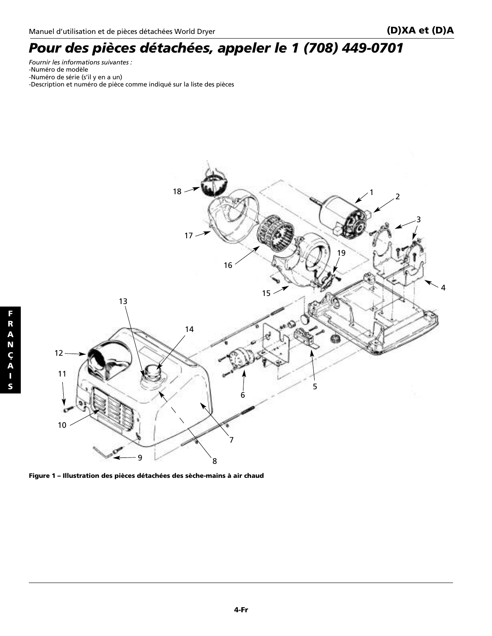### *Pour des pièces détachées, appeler le 1 (708) 449-0701*

*Fournir les informations suivantes :* -Numéro de modèle -Numéro de série (s'il y en a un) -Description et numéro de pièce comme indiqué sur la liste des pièces



**Figure 1 – Illustration des pièces détachées des sèche-mains à air chaud**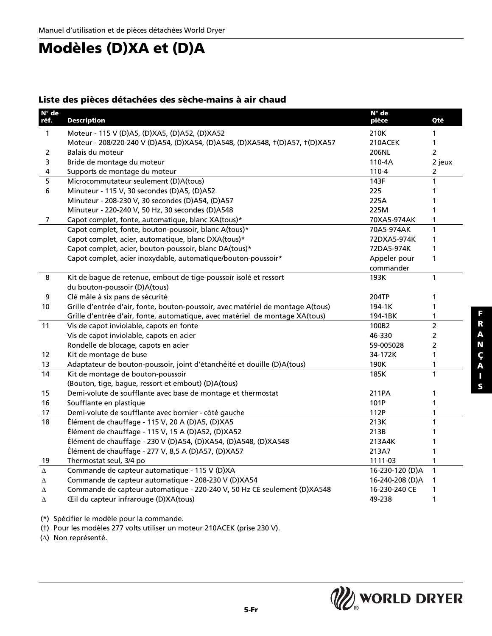### **Modèles (D)XA et (D)A**

#### **Liste des pièces détachées des sèche-mains à air chaud**

| N° de          |                                                                                 | N° de           |                |
|----------------|---------------------------------------------------------------------------------|-----------------|----------------|
| réf.           | <b>Description</b>                                                              | pièce           | Qté            |
| $\mathbf{1}$   | Moteur - 115 V (D)A5, (D)XA5, (D)A52, (D)XA52                                   | 210K            | 1              |
|                | Moteur - 208/220-240 V (D)A54, (D)XA54, (D)A548, (D)XA548, t(D)A57, t(D)XA57    | 210ACEK         | $\mathbf{1}$   |
| 2              | Balais du moteur                                                                | <b>206NL</b>    | $\overline{2}$ |
| 3              | Bride de montage du moteur                                                      | 110-4A          | 2 jeux         |
| 4              | Supports de montage du moteur                                                   | 110-4           | 2              |
| 5              | Microcommutateur seulement (D)A(tous)                                           | 143F            | 1              |
| $\bf 6$        | Minuteur - 115 V, 30 secondes (D)A5, (D)A52                                     | 225             | 1              |
|                | Minuteur - 208-230 V, 30 secondes (D)A54, (D)A57                                | 225A            | 1              |
|                | Minuteur - 220-240 V, 50 Hz, 30 secondes (D)A548                                | 225M            | 1              |
| $\overline{7}$ | Capot complet, fonte, automatique, blanc XA(tous)*                              | 70XA5-974AK     | 1              |
|                | Capot complet, fonte, bouton-poussoir, blanc A(tous)*                           | 70A5-974AK      | $\mathbf{1}$   |
|                | Capot complet, acier, automatique, blanc DXA(tous)*                             | 72DXA5-974K     | 1              |
|                | Capot complet, acier, bouton-poussoir, blanc DA(tous)*                          | 72DA5-974K      | 1              |
|                | Capot complet, acier inoxydable, automatique/bouton-poussoir*                   | Appeler pour    | 1              |
|                |                                                                                 | commander       |                |
| 8              | Kit de bague de retenue, embout de tige-poussoir isolé et ressort               | 193K            | $\mathbf{1}$   |
|                | du bouton-poussoir (D)A(tous)                                                   |                 |                |
| 9              | Clé mâle à six pans de sécurité                                                 | 204TP           | 1              |
| 10             | Grille d'entrée d'air, fonte, bouton-poussoir, avec matériel de montage A(tous) | 194-1K          | $\mathbf{1}$   |
|                | Grille d'entrée d'air, fonte, automatique, avec matériel de montage XA(tous)    | 194-1BK         | 1              |
| 11             | Vis de capot inviolable, capots en fonte                                        | 100B2           | $\overline{2}$ |
|                | Vis de capot inviolable, capots en acier                                        | 46-330          | $\overline{2}$ |
|                | Rondelle de blocage, capots en acier                                            | 59-005028       | $\overline{2}$ |
| 12             | Kit de montage de buse                                                          | 34-172K         | 1              |
| 13             | Adaptateur de bouton-poussoir, joint d'étanchéité et douille (D)A(tous)         | 190K            | 1              |
| 14             | Kit de montage de bouton-poussoir                                               | 185K            | $\mathbf{1}$   |
|                | (Bouton, tige, bague, ressort et embout) (D)A(tous)                             |                 |                |
| 15             | Demi-volute de soufflante avec base de montage et thermostat                    | 211PA           | 1              |
| 16             | Soufflante en plastique                                                         | 101P            | 1              |
| 17             | Demi-volute de soufflante avec bornier - côté gauche                            | 112P            | 1              |
| 18             | Élément de chauffage - 115 V, 20 A (D)A5, (D)XA5                                | 213K            | 1              |
|                | Élément de chauffage - 115 V, 15 A (D)A52, (D)XA52                              | 213B            | 1              |
|                | Élément de chauffage - 230 V (D)A54, (D)XA54, (D)A548, (D)XA548                 | 213A4K          | 1              |
|                | Élément de chauffage - 277 V, 8,5 A (D)A57, (D)XA57                             | 213A7           | 1              |
| 19             | Thermostat seul, 3/4 po                                                         | 1111-03         | 1              |
| Δ              | Commande de capteur automatique - 115 V (D)XA                                   | 16-230-120 (D)A | $\mathbf{1}$   |
| Δ              | Commande de capteur automatique - 208-230 V (D)XA54                             | 16-240-208 (D)A | 1              |
| Δ              | Commande de capteur automatique - 220-240 V, 50 Hz CE seulement (D)XA548        | 16-230-240 CE   | 1              |
| Δ              | Œil du capteur infrarouge (D)XA(tous)                                           | 49-238          | 1              |

(\*) Spécifier le modèle pour la commande.

(†) Pour les modèles 277 volts utiliser un moteur 210ACEK (prise 230 V).

(∆) Non représenté.

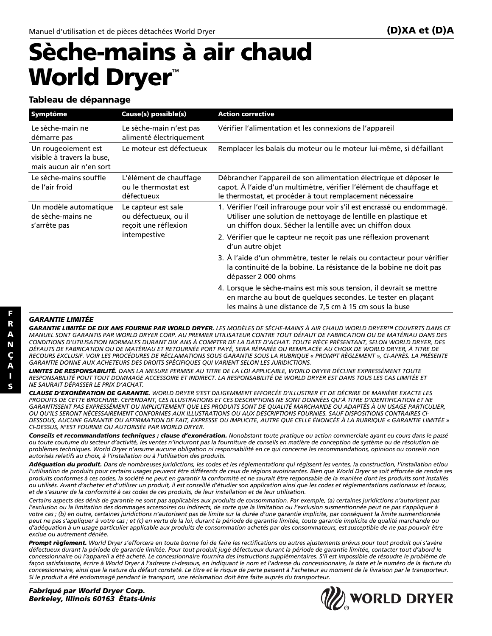# **Sèche-mains à air chaud World Dryer**™

#### **Tableau de dépannage**

| Symptôme                                                                      | Cause(s) possible(s)                                                                | <b>Action corrective</b>                                                                                                                                                                               |
|-------------------------------------------------------------------------------|-------------------------------------------------------------------------------------|--------------------------------------------------------------------------------------------------------------------------------------------------------------------------------------------------------|
| Le sèche-main ne<br>démarre pas                                               | Le sèche-main n'est pas<br>alimenté électriquement                                  | Vérifier l'alimentation et les connexions de l'appareil                                                                                                                                                |
| Un rougeoiement est<br>visible à travers la buse,<br>mais aucun air n'en sort | Le moteur est défectueux                                                            | Remplacer les balais du moteur ou le moteur lui-même, si défaillant                                                                                                                                    |
| Le sèche-mains souffle<br>de l'air froid                                      | L'élément de chauffage<br>ou le thermostat est<br>défectueux                        | Débrancher l'appareil de son alimentation électrique et déposer le<br>capot. À l'aide d'un multimètre, vérifier l'élément de chauffage et<br>le thermostat, et procéder à tout remplacement nécessaire |
| Un modèle automatique<br>de sèche-mains ne<br>s'arrête pas                    | Le capteur est sale<br>ou défectueux, ou il<br>reçoit une réflexion<br>intempestive | 1. Vérifier l'œil infrarouge pour voir s'il est encrassé ou endommagé.<br>Utiliser une solution de nettoyage de lentille en plastique et<br>un chiffon doux. Sécher la lentille avec un chiffon doux   |
|                                                                               |                                                                                     | 2. Vérifier que le capteur ne reçoit pas une réflexion provenant<br>d'un autre objet                                                                                                                   |
|                                                                               |                                                                                     | 3. À l'aide d'un ohmmètre, tester le relais ou contacteur pour vérifier<br>la continuité de la bobine. La résistance de la bobine ne doit pas<br>dépasser 2 000 ohms                                   |
|                                                                               |                                                                                     | 4. Lorsque le sèche-mains est mis sous tension, il devrait se mettre<br>en marche au bout de quelques secondes. Le tester en plaçant<br>les mains à une distance de 7,5 cm à 15 cm sous la buse        |
| <u>.</u>                                                                      |                                                                                     |                                                                                                                                                                                                        |

*GARANTIE LIMITÉE DE DIX ANS FOURNIE PAR WORLD DRYER. LES MODÈLES DE SÈCHE-MAINS À AIR CHAUD WORLD DRYER™ COUVERTS DANS CE MANUEL SONT GARANTIS PAR WORLD DRYER CORP. AU PREMIER UTILISATEUR CONTRE TOUT DÉFAUT DE FABRICATION OU DE MATÉRIAU DANS DES CONDITIONS D'UTILISATION NORMALES DURANT DIX ANS À COMPTER DE LA DATE D'ACHAT. TOUTE PIÈCE PRÉSENTANT, SELON WORLD DRYER, DES DÉFAUTS DE FABRICATION OU DE MATÉRIAU ET RETOURNÉE PORT PAYÉ, SERA RÉPARÉE OU REMPLACÉE AU CHOIX DE WORLD DRYER, À TITRE DE RECOURS EXCLUSIF. VOIR LES PROCÉDURES DE RÉCLAMATIONS SOUS GARANTIE SOUS LA RUBRIQUE « PROMPT RÈGLEMENT », CI-APRÈS. LA PRÉSENTE GARANTIE DONNE AUX ACHETEURS DES DROITS SPÉCIFIQUES QUI VARIENT SELON LES JURIDICTIONS.*

*LIMITES DE RESPONSABILITÉ. DANS LA MESURE PERMISE AU TITRE DE LA LOI APPLICABLE, WORLD DRYER DÉCLINE EXPRESSÉMENT TOUTE RESPONSABILITÉ POUT TOUT DOMMAGE ACCESSOIRE ET INDIRECT. LA RESPONSABILITÉ DE WORLD DRYER EST DANS TOUS LES CAS LIMITÉE ET NE SAURAIT DÉPASSER LE PRIX D'ACHAT.*

*CLAUSE D'EXONÉRATION DE GARANTIE. WORLD DRYER S'EST DILIGEMMENT EFFORCÉE D'ILLUSTRER ET DE DÉCRIRE DE MANIÈRE EXACTE LES PRODUITS DE CETTE BROCHURE. CEPENDANT, CES ILLUSTRATIONS ET CES DESCRIPTIONS NE SONT DONNÉES QU'À TITRE D'IDENTIFICATION ET NE GARANTISSENT PAS EXPRESSÉMENT OU IMPLICITEMENT QUE LES PRODUITS SONT DE QUALITÉ MARCHANDE OU ADAPTÉS À UN USAGE PARTICULIER, OU QU'ILS SERONT NÉCESSAIREMENT CONFORMES AUX ILLUSTRATIONS OU AUX DESCRIPTIONS FOURNIES. SAUF DISPOSITIONS CONTRAIRES CI-DESSOUS, AUCUNE GARANTIE OU AFFIRMATION DE FAIT, EXPRESSE OU IMPLICITE, AUTRE QUE CELLE ÉNONCÉE À LA RUBRIQUE « GARANTIE LIMITÉE » CI-DESSUS, N'EST FOURNIE OU AUTORISÉE PAR WORLD DRYER.*

*Conseils et recommandations techniques ; clause d'exonération. Nonobstant toute pratique ou action commerciale ayant eu cours dans le passé ou toute coutume du secteur d'activité, les ventes n'incluront pas la fourniture de conseils en matière de conception de système ou de résolution de problèmes techniques. World Dryer n'assume aucune obligation ni responsabilité en ce qui concerne les recommandations, opinions ou conseils non autorisés relatifs au choix, à l'installation ou à l'utilisation des produits.*

*Adéquation du produit. Dans de nombreuses juridictions, les codes et les réglementations qui régissent les ventes, la construction, l'installation et/ou l'utilisation de produits pour certains usages peuvent être différents de ceux de régions avoisinantes. Bien que World Dryer se soit efforcée de rendre ses produits conformes à ces codes, la société ne peut en garantir la conformité et ne saurait être responsable de la manière dont les produits sont installés ou utilisés. Avant d'acheter et d'utiliser un produit, il est conseillé d'étudier son application ainsi que les codes et réglementations nationaux et locaux, et de s'assurer de la conformité à ces codes de ces produits, de leur installation et de leur utilisation.*

*Certains aspects des dénis de garantie ne sont pas applicables aux produits de consommation. Par exemple, (a) certaines juridictions n'autorisent pas l'exclusion ou la limitation des dommages accessoires ou indirects, de sorte que la limitation ou l'exclusion susmentionnée peut ne pas s'appliquer à votre cas ; (b) en outre, certaines juridictions n'autorisent pas de limite sur la durée d'une garantie implicite, par conséquent la limite susmentionnée peut ne pas s'appliquer à votre cas ; et (c) en vertu de la loi, durant la période de garantie limitée, toute garantie implicite de qualité marchande ou d'adéquation à un usage particulier applicable aux produits de consommation achetés par des consommateurs, est susceptible de ne pas pouvoir être exclue ou autrement déniée.*

*Prompt règlement. World Dryer s'efforcera en toute bonne foi de faire les rectifications ou autres ajustements prévus pour tout produit qui s'avère défectueux durant la période de garantie limitée. Pour tout produit jugé défectueux durant la période de garantie limitée, contacter tout d'abord le concessionnaire où l'appareil a été acheté. Le concessionnaire fournira des instructions supplémentaires. S'il est impossible de résoudre le problème de façon satisfaisante, écrire à World Dryer à l'adresse ci-dessous, en indiquant le nom et l'adresse du concessionnaire, la date et le numéro de la facture du concessionnaire, ainsi que la nature du défaut constaté. Le titre et le risque de perte passent à l'acheteur au moment de la livraison par le transporteur. Si le produit a été endommagé pendant le transport, une réclamation doit être faite auprès du transporteur.*

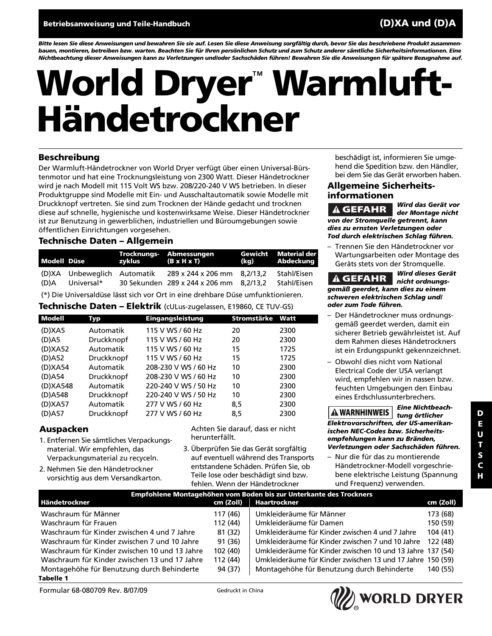*Bitte lesen Sie diese Anweisungen und bewahren Sie sie auf. Lesen Sie diese Anweisung sorgfältig durch, bevor Sie das beschriebene Produkt zusammenbauen, montieren, betreiben bzw. warten. Beachten Sie für Ihren persönlichen Schutz und zum Schutz anderer sämtliche Sicherheitsinformationen. Eine Nichtbeachtung dieser Anweisungen kann zu Verletzungen und/oder Sachschäden führen! Bewahren Sie die Anweisungen für spätere Bezugnahme auf.*

# **World Dryer**™ **Warmluft-Händetrockner**

#### **Beschreibung**

Der Warmluft-Händetrockner von World Dryer verfügt über einen Universal-Bürstenmotor und hat eine Trocknungsleistung von 2300 Watt. Dieser Händetrockner wird je nach Modell mit 115 Volt WS bzw. 208/220-240 V WS betrieben. In dieser Produktgruppe sind Modelle mit Ein- und Ausschaltautomatik sowie Modelle mit Druckknopf vertreten. Sie sind zum Trocknen der Hände gedacht und trocknen diese auf schnelle, hygienische und kostenwirksame Weise. Dieser Händetrockner ist zur Benutzung in gewerblichen, industriellen und Büroumgebungen sowie öffentlichen Einrichtungen vorgesehen.

#### **Technische Daten – Allgemein**

| Modell Düse |                                                | zyklus (B x H x T) | Trocknungs- Abmessungen                                                | Gewicht Material der<br>(kg) Abdeckung |
|-------------|------------------------------------------------|--------------------|------------------------------------------------------------------------|----------------------------------------|
|             | (D)XA Unbeweglich Automatik<br>(D)A Universal* |                    | 289 x 244 x 206 mm 8,2/13,2<br>30 Sekunden 289 x 244 x 206 mm 8.2/13.2 | Stahl/Eisen<br>Stahl/Eisen             |

(\*) Die Universaldüse lässt sich vor Ort in eine drehbare Düse umfunktionieren.

#### **Technische Daten – Elektrik** (cULus-zugelassen, E19860, CE TUV-GS)

| <b>Modell</b> | Тур        | Eingangsleistung     | Stromstärke | Watt |
|---------------|------------|----------------------|-------------|------|
| (D)XA5        | Automatik  | 115 V WS / 60 Hz     | 20          | 2300 |
| $(D)$ A5      | Druckknopf | 115 V WS / 60 Hz     | 20          | 2300 |
| (D)XA52       | Automatik  | 115 V WS / 60 Hz     | 15          | 1725 |
| (D)A52        | Druckknopf | 115 V WS / 60 Hz     | 15          | 1725 |
| (D)XA54       | Automatik  | 208-230 V WS / 60 Hz | 10          | 2300 |
| $(D)$ A54     | Druckknopf | 208-230 V WS / 60 Hz | 10          | 2300 |
| (D)XA548      | Automatik  | 220-240 V WS / 50 Hz | 10          | 2300 |
| (D)A548       | Druckknopf | 220-240 V WS / 50 Hz | 10          | 2300 |
| (D)XA57       | Automatik  | 277 V WS / 60 Hz     | 8,5         | 2300 |
| (D)A57        | Druckknopf | 277 V WS / 60 Hz     | 8,5         | 2300 |

#### **Auspacken**

- 1. Entfernen Sie sämtliches Verpackungsmaterial. Wir empfehlen, das Verpackungsmaterial zu recyceln.
- 2. Nehmen Sie den Händetrockner vorsichtig aus dem Versandkarton.

Achten Sie darauf, dass er nicht herunterfällt.

3. Überprüfen Sie das Gerät sorgfältig auf eventuell während des Transports entstandene Schäden. Prüfen Sie, ob Teile lose oder beschädigt sind bzw. fehlen. Wenn der Händetrockner

beschädigt ist, informieren Sie umgehend die Spedition bzw. den Händler, bei dem Sie das Gerät erworben haben.

#### **Allgemeine Sicherheitsinformationen**

*Wird das Gerät vor der Montage nicht von der Stromquelle getrennt, kann dies zu ernsten Verletzungen oder Tod durch elektrischen Schlag führen.* **GEFAHR**

– Trennen Sie den Händetrockner vor Wartungsarbeiten oder Montage des Geräts stets von der Stromquelle.

*Wird dieses Gerät nicht ordnungsgemäß geerdet, kann dies zu einem schweren elektrischen Schlag und/ oder zum Tode führen.* **GEFAHR**

- Der Händetrockner muss ordnungsgemäß geerdet werden, damit ein sicherer Betrieb gewährleistet ist. Auf dem Rahmen dieses Händetrockners ist ein Erdungspunkt gekennzeichnet.
- Obwohl dies nicht vom National Electrical Code der USA verlangt wird, empfehlen wir in nassen bzw. feuchten Umgebungen den Einbau eines Erdschlussunterbrechers.

*Eine Nichtbeachtung örtlicher Elektrovorschriften, der US-amerikanischen NEC-Codes bzw. Sicherheitsempfehlungen kann zu Bränden, Verletzungen oder Sachschäden führen.* **WARNHINWEIS**

– Nur die für das zu montierende Händetrockner-Modell vorgeschriebene elektrische Leistung (Spannung und Frequenz) verwenden.

| Empfohlene Montagehöhen vom Boden bis zur Unterkante des Trockners |                                                  |                                                                                                                          |  |  |  |
|--------------------------------------------------------------------|--------------------------------------------------|--------------------------------------------------------------------------------------------------------------------------|--|--|--|
| cm (Zoll)                                                          | Haartrockner                                     | cm (Zoll)                                                                                                                |  |  |  |
| 117 (46)                                                           | Umkleideräume für Männer                         | 173 (68)                                                                                                                 |  |  |  |
| 112 (44)                                                           | Umkleideräume für Damen                          | 150 (59)                                                                                                                 |  |  |  |
| 81 (32)                                                            | Umkleideräume für Kinder zwischen 4 und 7 Jahre  | 104(41)                                                                                                                  |  |  |  |
| 91 (36)                                                            | Umkleideräume für Kinder zwischen 7 und 10 Jahre | 122 (48)                                                                                                                 |  |  |  |
| 102 (40)                                                           |                                                  |                                                                                                                          |  |  |  |
| 112 (44)                                                           |                                                  |                                                                                                                          |  |  |  |
| 94 (37)                                                            | Montagehöhe für Benutzung durch Behinderte       | 140 (55)                                                                                                                 |  |  |  |
|                                                                    |                                                  | Umkleideräume für Kinder zwischen 10 und 13 Jahre 137 (54)<br>Umkleideräume für Kinder zwischen 13 und 17 Jahre 150 (59) |  |  |  |

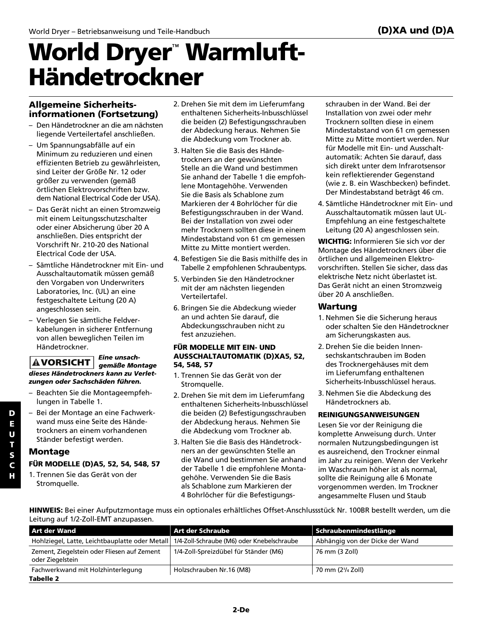# **World Dryer**™ **Warmluft-Händetrockner**

#### **Allgemeine Sicherheitsinformationen (Fortsetzung)**

- Den Händetrockner an die am nächsten liegende Verteilertafel anschließen.
- Um Spannungsabfälle auf ein Minimum zu reduzieren und einen effizienten Betrieb zu gewährleisten, sind Leiter der Größe Nr. 12 oder größer zu verwenden (gemäß örtlichen Elektrovorschriften bzw. dem National Electrical Code der USA).
- Das Gerät nicht an einen Stromzweig mit einem Leitungsschutzschalter oder einer Absicherung über 20 A anschließen. Dies entspricht der Vorschrift Nr. 210-20 des National Electrical Code der USA.
- Sämtliche Händetrockner mit Ein- und Ausschaltautomatik müssen gemäß den Vorgaben von Underwriters Laboratories, Inc. (UL) an eine festgeschaltete Leitung (20 A) angeschlossen sein.
- Verlegen Sie sämtliche Feldverkabelungen in sicherer Entfernung von allen beweglichen Teilen im Händetrockner.

#### *Eine unsachgemäße Montage dieses Händetrockners kann zu Verletzungen oder Sachschäden führen.* **VORSICHT**

- Beachten Sie die Montageempfehlungen in Tabelle 1.
- Bei der Montage an eine Fachwerkwand muss eine Seite des Händetrockners an einem vorhandenen Ständer befestigt werden.

#### **Montage**

#### **FÜR MODELLE (D)A5, 52, 54, 548, 57**

1. Trennen Sie das Gerät von der Stromquelle.

- 2. Drehen Sie mit dem im Lieferumfang enthaltenen Sicherheits-Inbusschlüssel die beiden (2) Befestigungsschrauben der Abdeckung heraus. Nehmen Sie die Abdeckung vom Trockner ab.
- 3. Halten Sie die Basis des Händetrockners an der gewünschten Stelle an die Wand und bestimmen Sie anhand der Tabelle 1 die empfohlene Montagehöhe. Verwenden Sie die Basis als Schablone zum Markieren der 4 Bohrlöcher für die Befestigungsschrauben in der Wand. Bei der Installation von zwei oder mehr Trocknern sollten diese in einem Mindestabstand von 61 cm gemessen Mitte zu Mitte montiert werden.
- 4. Befestigen Sie die Basis mithilfe des in Tabelle 2 empfohlenen Schraubentyps.
- 5. Verbinden Sie den Händetrockner mit der am nächsten liegenden Verteilertafel.
- 6. Bringen Sie die Abdeckung wieder an und achten Sie darauf, die Abdeckungsschrauben nicht zu fest anzuziehen.

#### **FÜR MODELLE MIT EIN- UND AUSSCHALTAUTOMATIK (D)XA5, 52, 54, 548, 57**

- 1. Trennen Sie das Gerät von der Stromquelle.
- 2. Drehen Sie mit dem im Lieferumfang enthaltenen Sicherheits-Inbusschlüssel die beiden (2) Befestigungsschrauben der Abdeckung heraus. Nehmen Sie die Abdeckung vom Trockner ab.
- 3. Halten Sie die Basis des Händetrockners an der gewünschten Stelle an die Wand und bestimmen Sie anhand der Tabelle 1 die empfohlene Montagehöhe. Verwenden Sie die Basis als Schablone zum Markieren der 4 Bohrlöcher für die Befestigungs-

schrauben in der Wand. Bei der Installation von zwei oder mehr Trocknern sollten diese in einem Mindestabstand von 61 cm gemessen Mitte zu Mitte montiert werden. Nur für Modelle mit Ein- und Ausschaltautomatik: Achten Sie darauf, dass sich direkt unter dem Infrarotsensor kein reflektierender Gegenstand (wie z. B. ein Waschbecken) befindet. Der Mindestabstand beträgt 46 cm.

4. Sämtliche Händetrockner mit Ein- und Ausschaltautomatik müssen laut UL-Empfehlung an eine festgeschaltete Leitung (20 A) angeschlossen sein.

**WICHTIG:** Informieren Sie sich vor der Montage des Händetrockners über die örtlichen und allgemeinen Elektrovorschriften. Stellen Sie sicher, dass das elektrische Netz nicht überlastet ist. Das Gerät nicht an einen Stromzweig über 20 A anschließen.

#### **Wartung**

- 1. Nehmen Sie die Sicherung heraus oder schalten Sie den Händetrockner am Sicherungskasten aus.
- 2. Drehen Sie die beiden Innensechskantschrauben im Boden des Trocknergehäuses mit dem im Lieferumfang enthaltenen Sicherheits-Inbusschlüssel heraus.
- 3. Nehmen Sie die Abdeckung des Händetrockners ab.

#### **REINIGUNGSANWEISUNGEN**

Lesen Sie vor der Reinigung die komplette Anweisung durch. Unter normalen Nutzungsbedingungen ist es ausreichend, den Trockner einmal im Jahr zu reinigen. Wenn der Verkehr im Waschraum höher ist als normal, sollte die Reinigung alle 6 Monate vorgenommen werden. Im Trockner angesammelte Flusen und Staub

**HINWEIS:** Bei einer Aufputzmontage muss ein optionales erhältliches Offset-Anschlussstück Nr. 100BR bestellt werden, um die Leitung auf 1/2-Zoll-EMT anzupassen.

| <b>Art der Wand</b>                                             | Art der Schraube                           | $\mid$ Schraubenmindestlänge    |
|-----------------------------------------------------------------|--------------------------------------------|---------------------------------|
| Hohlziegel, Latte, Leichtbauplatte oder Metall                  | 1/4-Zoll-Schraube (M6) oder Knebelschraube | Abhängig von der Dicke der Wand |
| Zement, Ziegelstein oder Fliesen auf Zement<br>oder Ziegelstein | 1/4-Zoll-Spreizdübel für Ständer (M6)      | 76 mm (3 Zoll)                  |
| Fachwerkwand mit Holzhinterlegung                               | Holzschrauben Nr.16 (M8)                   | 70 mm (2 <sup>3</sup> /4 Zoll)  |
| Tabelle 2                                                       |                                            |                                 |

**D E**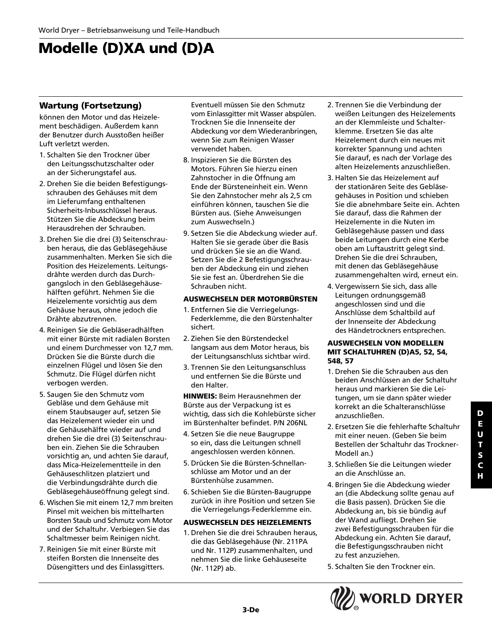## **Modelle (D)XA und (D)A**

#### **Wartung (Fortsetzung)**

können den Motor und das Heizelement beschädigen. Außerdem kann der Benutzer durch Ausstoßen heißer Luft verletzt werden.

- 1. Schalten Sie den Trockner über den Leitungsschutzschalter oder an der Sicherungstafel aus.
- 2. Drehen Sie die beiden Befestigungsschrauben des Gehäuses mit dem im Lieferumfang enthaltenen Sicherheits-Inbusschlüssel heraus. Stützen Sie die Abdeckung beim Herausdrehen der Schrauben.
- 3. Drehen Sie die drei (3) Seitenschrauben heraus, die das Gebläsegehäuse zusammenhalten. Merken Sie sich die Position des Heizelements. Leitungsdrähte werden durch das Durchgangsloch in den Gebläsegehäusehälften geführt. Nehmen Sie die Heizelemente vorsichtig aus dem Gehäuse heraus, ohne jedoch die Drähte abzutrennen.
- 4. Reinigen Sie die Gebläseradhälften mit einer Bürste mit radialen Borsten und einem Durchmesser von 12,7 mm. Drücken Sie die Bürste durch die einzelnen Flügel und lösen Sie den Schmutz. Die Flügel dürfen nicht verbogen werden.
- 5. Saugen Sie den Schmutz vom Gebläse und dem Gehäuse mit einem Staubsauger auf, setzen Sie das Heizelement wieder ein und die Gehäusehälfte wieder auf und drehen Sie die drei (3) Seitenschrauben ein. Ziehen Sie die Schrauben vorsichtig an, und achten Sie darauf, dass Mica-Heizelementteile in den Gehäuseschlitzen platziert und die Verbindungsdrähte durch die Gebläsegehäuseöffnung gelegt sind.
- 6. Wischen Sie mit einem 12,7 mm breiten Pinsel mit weichen bis mittelharten Borsten Staub und Schmutz vom Motor und der Schaltuhr. Verbiegen Sie das Schaltmesser beim Reinigen nicht.
- 7. Reinigen Sie mit einer Bürste mit steifen Borsten die Innenseite des Düsengitters und des Einlassgitters.

Eventuell müssen Sie den Schmutz vom Einlassgitter mit Wasser abspülen. Trocknen Sie die Innenseite der Abdeckung vor dem Wiederanbringen, wenn Sie zum Reinigen Wasser verwendet haben.

- 8. Inspizieren Sie die Bürsten des Motors. Führen Sie hierzu einen Zahnstocher in die Öffnung am Ende der Bürsteneinheit ein. Wenn Sie den Zahnstocher mehr als 2,5 cm einführen können, tauschen Sie die Bürsten aus. (Siehe Anweisungen zum Auswechseln.)
- 9. Setzen Sie die Abdeckung wieder auf. Halten Sie sie gerade über die Basis und drücken Sie sie an die Wand. Setzen Sie die 2 Befestigungsschrauben der Abdeckung ein und ziehen Sie sie fest an. Überdrehen Sie die Schrauben nicht.

#### **AUSWECHSELN DER MOTORBÜRSTEN**

- 1. Entfernen Sie die Verriegelungs-Federklemme, die den Bürstenhalter sichert.
- 2. Ziehen Sie den Bürstendeckel langsam aus dem Motor heraus, bis der Leitungsanschluss sichtbar wird.
- 3. Trennen Sie den Leitungsanschluss und entfernen Sie die Bürste und den Halter.

**HINWEIS:** Beim Herausnehmen der Bürste aus der Verpackung ist es wichtig, dass sich die Kohlebürste sicher im Bürstenhalter befindet. P/N 206NL

- 4. Setzen Sie die neue Baugruppe so ein, dass die Leitungen schnell angeschlossen werden können.
- 5. Drücken Sie die Bürsten-Schnellanschlüsse am Motor und an der Bürstenhülse zusammen.
- 6. Schieben Sie die Bürsten-Baugruppe zurück in ihre Position und setzen Sie die Verriegelungs-Federklemme ein.

#### **AUSWECHSELN DES HEIZELEMENTS**

1. Drehen Sie die drei Schrauben heraus, die das Gebläsegehäuse (Nr. 211PA und Nr. 112P) zusammenhalten, und nehmen Sie die linke Gehäuseseite (Nr. 112P) ab.

- 2. Trennen Sie die Verbindung der weißen Leitungen des Heizelements an der Klemmleiste und Schalterklemme. Ersetzen Sie das alte Heizelement durch ein neues mit korrekter Spannung und achten Sie darauf, es nach der Vorlage des alten Heizelements anzuschließen.
- 3. Halten Sie das Heizelement auf der stationären Seite des Gebläsegehäuses in Position und schieben Sie die abnehmbare Seite ein. Achten Sie darauf, dass die Rahmen der Heizelemente in die Nuten im Gebläsegehäuse passen und dass beide Leitungen durch eine Kerbe oben am Luftaustritt gelegt sind. Drehen Sie die drei Schrauben, mit denen das Gebläsegehäuse zusammengehalten wird, erneut ein.
- 4. Vergewissern Sie sich, dass alle Leitungen ordnungsgemäß angeschlossen sind und die Anschlüsse dem Schaltbild auf der Innenseite der Abdeckung des Händetrockners entsprechen.

#### **AUSWECHSELN VON MODELLEN MIT SCHALTUHREN (D)A5, 52, 54, 548, 57**

- 1. Drehen Sie die Schrauben aus den beiden Anschlüssen an der Schaltuhr heraus und markieren Sie die Leitungen, um sie dann später wieder korrekt an die Schalteranschlüsse anzuschließen.
- 2. Ersetzen Sie die fehlerhafte Schaltuhr mit einer neuen. (Geben Sie beim Bestellen der Schaltuhr das Trockner-Modell an.)
- 3. Schließen Sie die Leitungen wieder an die Anschlüsse an.
- 4. Bringen Sie die Abdeckung wieder an (die Abdeckung sollte genau auf die Basis passen). Drücken Sie die Abdeckung an, bis sie bündig auf der Wand aufliegt. Drehen Sie zwei Befestigungsschrauben für die Abdeckung ein. Achten Sie darauf, die Befestigungsschrauben nicht zu fest anzuziehen.
- 5. Schalten Sie den Trockner ein.

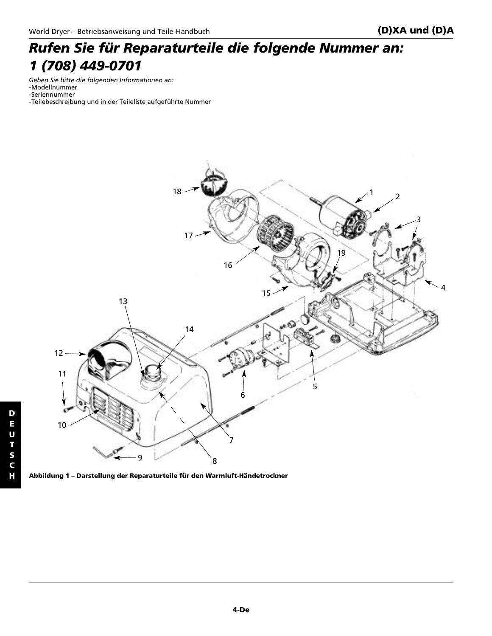### *Rufen Sie für Reparaturteile die folgende Nummer an: 1 (708) 449-0701*

*Geben Sie bitte die folgenden Informationen an:* -Modellnummer -Seriennummer

-Teilebeschreibung und in der Teileliste aufgeführte Nummer



**Abbildung 1 – Darstellung der Reparaturteile für den Warmluft-Händetrockner**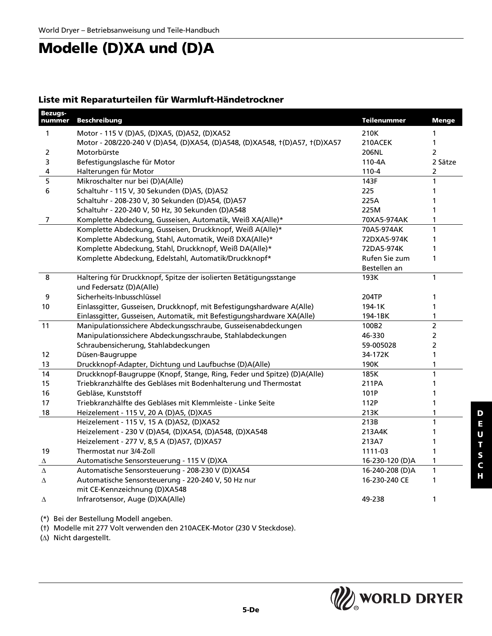## **Modelle (D)XA und (D)A**

#### **Liste mit Reparaturteilen für Warmluft-Händetrockner**

| <b>Bezugs-</b><br>nummer | <b>Beschreibung</b>                                                         | <b>Teilenummer</b> | <b>Menge</b>   |
|--------------------------|-----------------------------------------------------------------------------|--------------------|----------------|
| 1                        | Motor - 115 V (D)A5, (D)XA5, (D)A52, (D)XA52                                | 210K               | 1              |
|                          | Motor - 208/220-240 V (D)A54, (D)XA54, (D)A548, (D)XA548, t(D)A57, t(D)XA57 | 210ACEK            | 1              |
| 2                        | Motorbürste                                                                 | 206NL              | 2              |
| 3                        | Befestigungslasche für Motor                                                | 110-4A             | 2 Sätze        |
| 4                        | Halterungen für Motor                                                       | $110 - 4$          | $\overline{2}$ |
| 5                        | Mikroschalter nur bei (D)A(Alle)                                            | 143F               | 1              |
| 6                        | Schaltuhr - 115 V, 30 Sekunden (D)A5, (D)A52                                | 225                | 1              |
|                          | Schaltuhr - 208-230 V, 30 Sekunden (D)A54, (D)A57                           | 225A               | 1              |
|                          | Schaltuhr - 220-240 V, 50 Hz, 30 Sekunden (D)A548                           | 225M               | 1              |
| 7                        | Komplette Abdeckung, Gusseisen, Automatik, Weiß XA(Alle)*                   | 70XA5-974AK        | 1              |
|                          | Komplette Abdeckung, Gusseisen, Druckknopf, Weiß A(Alle)*                   | 70A5-974AK         | 1              |
|                          | Komplette Abdeckung, Stahl, Automatik, Weiß DXA(Alle)*                      | 72DXA5-974K        | 1              |
|                          | Komplette Abdeckung, Stahl, Druckknopf, Weiß DA(Alle)*                      | 72DA5-974K         | 1              |
|                          | Komplette Abdeckung, Edelstahl, Automatik/Druckknopf*                       | Rufen Sie zum      | 1              |
|                          |                                                                             | Bestellen an       |                |
| 8                        | Haltering für Druckknopf, Spitze der isolierten Betätigungsstange           | 193K               | $\mathbf{1}$   |
|                          | und Federsatz (D)A(Alle)                                                    |                    |                |
| 9                        | Sicherheits-Inbusschlüssel                                                  | 204TP              | 1              |
| 10                       | Einlassgitter, Gusseisen, Druckknopf, mit Befestigungshardware A(Alle)      | 194-1K             | 1              |
|                          | Einlassgitter, Gusseisen, Automatik, mit Befestigungshardware XA(Alle)      | 194-1BK            | 1              |
| 11                       | Manipulationssichere Abdeckungsschraube, Gusseisenabdeckungen               | 100B2              | $\overline{2}$ |
|                          | Manipulationssichere Abdeckungsschraube, Stahlabdeckungen                   | 46-330             | $\overline{2}$ |
|                          | Schraubensicherung, Stahlabdeckungen                                        | 59-005028          | $\overline{2}$ |
| 12                       | Düsen-Baugruppe                                                             | 34-172K            | 1              |
| 13                       | Druckknopf-Adapter, Dichtung und Laufbuchse (D)A(Alle)                      | 190K               | 1              |
| 14                       | Druckknopf-Baugruppe (Knopf, Stange, Ring, Feder und Spitze) (D)A(Alle)     | 185K               | 1              |
| 15                       | Triebkranzhälfte des Gebläses mit Bodenhalterung und Thermostat             | 211PA              | 1              |
| 16                       | Gebläse, Kunststoff                                                         | 101P               | 1              |
| 17                       | Triebkranzhälfte des Gebläses mit Klemmleiste - Linke Seite                 | 112P               | 1              |
| 18                       | Heizelement - 115 V, 20 A (D)A5, (D)XA5                                     | 213K               | 1              |
|                          | Heizelement - 115 V, 15 A (D)A52, (D)XA52                                   | 213B               | $\mathbf{1}$   |
|                          | Heizelement - 230 V (D)A54, (D)XA54, (D)A548, (D)XA548                      | 213A4K             | 1              |
|                          | Heizelement - 277 V, 8,5 A (D)A57, (D)XA57                                  | 213A7              | 1              |
| 19                       | Thermostat nur 3/4-Zoll                                                     | 1111-03            | 1              |
| Δ                        | Automatische Sensorsteuerung - 115 V (D)XA                                  | 16-230-120 (D)A    | 1              |
| Δ                        | Automatische Sensorsteuerung - 208-230 V (D)XA54                            | 16-240-208 (D)A    | $\mathbf{1}$   |
| Δ                        | Automatische Sensorsteuerung - 220-240 V, 50 Hz nur                         | 16-230-240 CE      | 1              |
|                          | mit CE-Kennzeichnung (D)XA548                                               |                    |                |
| Δ                        | Infrarotsensor, Auge (D)XA(Alle)                                            | 49-238             | 1              |

(\*) Bei der Bestellung Modell angeben.

(†) Modelle mit 277 Volt verwenden den 210ACEK-Motor (230 V Steckdose).

(∆) Nicht dargestellt.

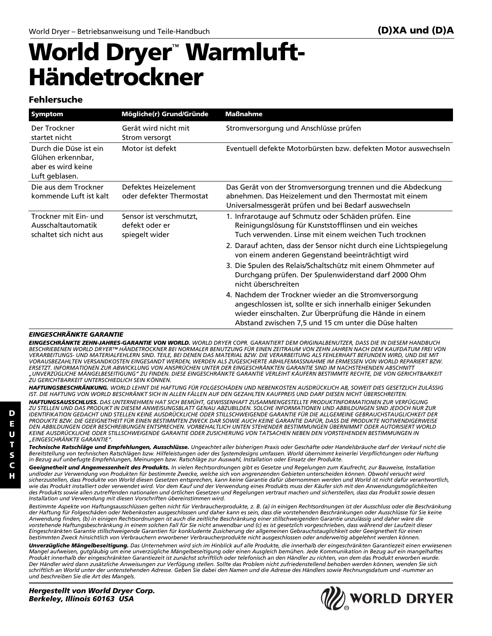# **World Dryer**™ **Warmluft-Händetrockner**

#### **Fehlersuche**

| Symptom                                                                             | Mögliche(r) Grund/Gründe                                    | <b>Maßnahme</b>                                                                                                                                                                                                                         |
|-------------------------------------------------------------------------------------|-------------------------------------------------------------|-----------------------------------------------------------------------------------------------------------------------------------------------------------------------------------------------------------------------------------------|
| Der Trockner<br>startet nicht                                                       | Gerät wird nicht mit<br>Strom versorgt                      | Stromversorgung und Anschlüsse prüfen                                                                                                                                                                                                   |
| Durch die Düse ist ein<br>Glühen erkennbar.<br>aber es wird keine<br>Luft geblasen. | Motor ist defekt                                            | Eventuell defekte Motorbürsten bzw. defekten Motor auswechseln                                                                                                                                                                          |
| Die aus dem Trockner<br>kommende Luft ist kalt                                      | Defektes Heizelement<br>oder defekter Thermostat            | Das Gerät von der Stromversorgung trennen und die Abdeckung<br>abnehmen. Das Heizelement und den Thermostat mit einem<br>Universalmessgerät prüfen und bei Bedarf auswechseln                                                           |
| Trockner mit Ein- und<br>Ausschaltautomatik<br>schaltet sich nicht aus              | Sensor ist verschmutzt,<br>defekt oder er<br>spiegelt wider | 1. Infrarotauge auf Schmutz oder Schäden prüfen. Eine<br>Reinigungslösung für Kunststofflinsen und ein weiches<br>Tuch verwenden. Linse mit einem weichen Tuch trocknen                                                                 |
|                                                                                     |                                                             | 2. Darauf achten, dass der Sensor nicht durch eine Lichtspiegelung<br>von einem anderen Gegenstand beeinträchtigt wird                                                                                                                  |
|                                                                                     |                                                             | 3. Die Spulen des Relais/Schaltschütz mit einem Ohmmeter auf<br>Durchgang prüfen. Der Spulenwiderstand darf 2000 Ohm<br>nicht überschreiten                                                                                             |
|                                                                                     |                                                             | 4. Nachdem der Trockner wieder an die Stromversorgung<br>angeschlossen ist, sollte er sich innerhalb einiger Sekunden<br>wieder einschalten. Zur Überprüfung die Hände in einem<br>Abstand zwischen 7,5 und 15 cm unter die Düse halten |

#### *EINGESCHRÄNKTE GARANTIE*

*EINGESCHRÄNKTE ZEHN-JAHRES-GARANTIE VON WORLD. WORLD DRYER COPR. GARANTIERT DEM ORIGINALBENUTZER, DASS DIE IN DIESEM HANDBUCH BESCHRIEBENEN WORLD DRYER™ HÄNDETROCKNER BEI NORMALER BENUTZUNG FÜR EINEN ZEITRAUM VON ZEHN JAHREN NACH DEM KAUFDATUM FREI VON VERARBEITUNGS- UND MATERIALFEHLERN SIND. TEILE, BEI DENEN DAS MATERIAL BZW. DIE VERARBEITUNG ALS FEHLERHAFT BEFUNDEN WIRD, UND DIE MIT VORAUSBEZAHLTEN VERSANDKOSTEN EINGESANDT WERDEN, WERDEN ALS ZUGESICHERTE ABHILFEMASSNAHME IM ERMESSEN VON WORLD REPARIERT BZW. ERSETZT. INFORMATIONEN ZUR ABWICKLUNG VON ANSPRÜCHEN UNTER DER EINGESCHRÄNKTEN GARANTIE SIND IM NACHSTEHENDEN ABSCHNITT "UNVERZÜGLICHE MÄNGELBESEITIGUNG" ZU FINDEN. DIESE EINGESCHRÄNKTE GARANTIE VERLEIHT KÄUFERN BESTIMMTE RECHTE, DIE VON GERICHTBARKEIT ZU GERICHTBARKEIT UNTERSCHIEDLICH SEIN KÖNNEN.*

*HAFTUNGSBESCHRÄNKUNG. WORLD LEHNT DIE HAFTUNG FÜR FOLGESCHÄDEN UND NEBENKOSTEN AUSDRÜCKLICH AB, SOWEIT DIES GESETZLICH ZULÄSSIG IST. DIE HAFTUNG VON WORLD BESCHRÄNKT SICH IN ALLEN FÄLLEN AUF DEN GEZAHLTEN KAUFPREIS UND DARF DIESEN NICHT ÜBERSCHREITEN.*

*HAFTUNGSAUSSCHLUSS. DAS UNTERNEHMEN HAT SICH BEMÜHT, GEWISSENHAFT ZUSAMMENGESTELLTE PRODUKTINFORMATIONEN ZUR VERFÜGUNG ZU STELLEN UND DAS PRODUKT IN DIESEM ANWEISUNGSBLATT GENAU ABZUBILDEN. SOLCHE INFORMATIONEN UND ABBILDUNGEN SIND JEDOCH NUR ZUR IDENTIFIKATION GEDACHT UND STELLEN KEINE AUSDRÜCKLICHE ODER STILLSCHWEIGENDE GARANTIE FÜR DIE ALLGEMEINE GEBRAUCHSTAUGLICHKEIT DER* PRODUKTE BZW. DIE GEEIGNETHEIT FÜR EINEN BESTIMMTEN ZWECK DAR SOWIE AUCH KEINE GARANTIE DAFÜR, DASS DIE PRODUKTE NOTWENDIGERWEISE<br>DEN ABBILDUNGEN ODER BESCHREIBUNGEN ENTSPRECHEN. VORBEHALTLICH UNTEN STEHENDER BESTIMMUNGEN *KEINE AUSDRÜCKLICHE ODER STILLSCHWEIGENDE GARANTIE ODER ZUSICHERUNG VON TATSACHEN NEBEN DEN VORSTEHENDEN BESTIMMUNGEN IN "EINGESCHRÄNKTE GARANTIE".*

*Technische Ratschläge und Empfehlungen, Ausschlüsse. Ungeachtet aller bisherigen Praxis oder Geschäfte oder Handelsbräuche darf der Verkauf nicht die Bereitstellung von technischen Ratschlägen bzw. Hilfeleistungen oder des Systemdesigns umfassen. World übernimmt keinerlei Verpflichtungen oder Haftung in Bezug auf unbefugte Empfehlungen, Meinungen bzw. Ratschläge zur Auswahl, Installation oder Einsatz der Produkte.*

*Geeignetheit und Angemessenheit des Produkts. In vielen Rechtsordnungen gibt es Gesetze und Regelungen zum Kaufrecht, zur Bauweise, Installation und/oder zur Verwendung von Produkten für bestimmte Zwecke, welche sich von angrenzenden Gebieten unterscheiden können. Obwohl versucht wird sicherzustellen, dass Produkte von World diesen Gesetzen entsprechen, kann keine Garantie dafür übernommen werden und World ist nicht dafür verantwortlich, wie das Produkt installiert oder verwendet wird. Vor dem Kauf und der Verwendung eines Produkts muss der Käufer sich mit den Anwendungsmöglichkeiten des Produkts sowie allen zutreffenden nationalen und örtlichen Gesetzen und Regelungen vertraut machen und sicherstellen, dass das Produkt sowie dessen Installation und Verwendung mit diesen Vorschriften übereinstimmen wird.*

*Bestimmte Aspekte von Haftungsausschlüssen gelten nicht für Verbraucherprodukte, z. B. (a) in einigen Rechtsordnungen ist der Ausschluss oder die Beschränkung der Haftung für Folgeschäden oder Nebenkosten ausgeschlossen und daher kann es sein, dass die vorstehenden Beschränkungen oder Ausschlüsse für Sie keine Anwendung finden, (b) in einigen Rechtsordnungen ist auch die zeitliche Beschränkung einer stillschweigenden Garantie unzulässig und daher wäre die vorstehende Haftungsbeschränkung in einem solchen Fall für Sie nicht anwendbar und (c) es ist gesetzlich vorgeschrieben, dass während der Laufzeit dieser Eingeschränkten Garantie stillschweigende Garantien für konkludente Zusicherung der allgemeinen Gebrauchstauglichkeit oder Geeignetheit für einen bestimmten Zweck hinsichtlich von Verbrauchern erworbener Verbraucherprodukte nicht ausgeschlossen oder anderweitig abgelehnt werden können.*

*Unverzügliche Mängelbeseitigung. Das Unternehmen wird sich im Hinblick auf alle Produkte, die innerhalb der eingeschränkten Garantiezeit einen erwiesenen Mangel aufweisen, gutgläubig um eine unverzügliche Mängelbeseitigung oder einen Ausgleich bemühen. Jede Kommunikation in Bezug auf ein mangelhaftes Produkt innerhalb der eingeschränkten Garantiezeit ist zunächst schriftlich oder telefonisch an den Händler zu richten, von dem das Produkt erworben wurde. Der Händler wird dann zusätzliche Anweisungen zur Verfügung stellen. Sollte das Problem nicht zufriedenstellend behoben werden können, wenden Sie sich schriftlich an World unter der untenstehenden Adresse. Geben Sie dabei den Namen und die Adresse des Händlers sowie Rechnungsdatum und -nummer an und beschreiben Sie die Art des Mangels.*

**D**



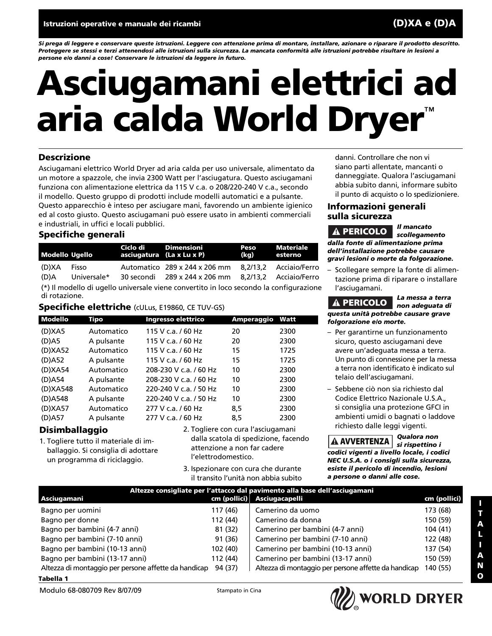*Si prega di leggere e conservare queste istruzioni. Leggere con attenzione prima di montare, installare, azionare o riparare il prodotto descritto. Proteggere se stessi e terzi attenendosi alle istruzioni sulla sicurezza. La mancata conformità alle istruzioni potrebbe risultare in lesioni a persone e/o danni a cose! Conservare le istruzioni da leggere in futuro.*

# **Asciugamani elettrici ad aria calda World Dryer**™

#### **Descrizione**

Asciugamani elettrico World Dryer ad aria calda per uso universale, alimentato da un motore a spazzole, che invia 2300 Watt per l'asciugatura. Questo asciugamani funziona con alimentazione elettrica da 115 V c.a. o 208/220-240 V c.a., secondo il modello. Questo gruppo di prodotti include modelli automatici e a pulsante. Questo apparecchio è inteso per asciugare mani, favorendo un ambiente igienico ed al costo giusto. Questo asciugamani può essere usato in ambienti commerciali e industriali, in uffici e locali pubblici.

#### **Specifiche generali**

| <b>Modello Ugello</b>                                                                                   |                      | Ciclo di Dimensioni<br>asciugatura (La x Lu x P) |                                                                    | Peso<br>(kg) | Materiale<br>esterno                             |
|---------------------------------------------------------------------------------------------------------|----------------------|--------------------------------------------------|--------------------------------------------------------------------|--------------|--------------------------------------------------|
| (D)XA<br>(D)A                                                                                           | Fisso<br>Universale* |                                                  | Automatico 289 x 244 x 206 mm<br>30 secondi     289 x 244 x 206 mm |              | 8,2/13,2 Acciaio/Ferro<br>8.2/13.2 Acciaio/Ferro |
| (*) Il modello di ugello universale viene convertito in loco secondo la configurazione<br>di rotazione. |                      |                                                  |                                                                    |              |                                                  |

#### **Specifiche elettriche** (cULus, E19860, CE TUV-GS)

| <b>Modello</b> | Tipo       | Ingresso elettrico          | Amperaggio | Watt |
|----------------|------------|-----------------------------|------------|------|
| (D)XA5         | Automatico | 115 V c.a. / 60 Hz          | 20         | 2300 |
| $(D)$ A5       | A pulsante | 115 V c.a. / 60 Hz          | 20         | 2300 |
| (D)XA52        | Automatico | 115 V c.a. / 60 Hz          | 15         | 1725 |
| (D)A52         | A pulsante | 115 V c.a. / 60 Hz          | 15         | 1725 |
| (D)XA54        | Automatico | 208-230 V c.a. / 60 Hz      | 10         | 2300 |
| (D)A54         | A pulsante | 208-230 V c.a. / 60 Hz      | 10         | 2300 |
| (D)XA548       | Automatico | $220 - 240$ V c.a. $/50$ Hz | 10         | 2300 |
| (D)A548        | A pulsante | 220-240 V c.a. / 50 Hz      | 10         | 2300 |
| (D)XA57        | Automatico | 277 V c.a. / 60 Hz          | 8,5        | 2300 |
| $(D)$ A57      | A pulsante | 277 V c.a. / 60 Hz          | 8,5        | 2300 |

#### **Disimballaggio**

- 1. Togliere tutto il materiale di imballaggio. Si consiglia di adottare un programma di riciclaggio.
- 2. Togliere con cura l'asciugamani dalla scatola di spedizione, facendo attenzione a non far cadere l'elettrodomestico.
- 3. Ispezionare con cura che durante il transito l'unità non abbia subito

danni. Controllare che non vi siano parti allentate, mancanti o danneggiate. Qualora l'asciugamani abbia subito danni, informare subito il punto di acquisto o lo spedizioniere.

#### **Informazioni generali sulla sicurezza**

*Il mancato scollegamento dalla fonte di alimentazione prima dell'installazione potrebbe causare gravi lesioni o morte da folgorazione.* **A PERICOLO** 

– Scollegare sempre la fonte di alimentazione prima di riparare o installare l'asciugamani.

*La messa a terra non adeguata di questa unità potrebbe causare grave folgorazione e/o morte.* **PERICOLO**

- Per garantirne un funzionamento sicuro, questo asciugamani deve avere un'adeguata messa a terra. Un punto di connessione per la messa a terra non identificato è indicato sul telaio dell'asciugamani.
- Sebbene ciò non sia richiesto dal Codice Elettrico Nazionale U.S.A., si consiglia una protezione GFCI in ambienti umidi o bagnati o laddove richiesto dalle leggi vigenti.

*Qualora non si rispettino i* **AVVERTENZA** *codici vigenti a livello locale, i codici NEC U.S.A. o i consigli sulla sicurezza, esiste il pericolo di incendio, lesioni a persone o danni alle cose.*

| Altezze consigliate per l'attacco dal pavimento alla base dell'asciugamani |          |                                                      |              |
|----------------------------------------------------------------------------|----------|------------------------------------------------------|--------------|
| Asciugamani                                                                |          | cm (pollici) Asciugacapelli                          | cm (pollici) |
| Bagno per uomini                                                           | 117 (46) | Camerino da uomo                                     | 173 (68)     |
| Bagno per donne                                                            | 112 (44) | Camerino da donna                                    | 150 (59)     |
| Bagno per bambini (4-7 anni)                                               | 81 (32)  | Camerino per bambini (4-7 anni)                      | 104 (41)     |
| Bagno per bambini (7-10 anni)                                              | 91 (36)  | Camerino per bambini (7-10 anni)                     | 122 (48)     |
| Bagno per bambini (10-13 anni)                                             | 102 (40) | Camerino per bambini (10-13 anni)                    | 137 (54)     |
| Bagno per bambini (13-17 anni)                                             | 112 (44) | Camerino per bambini (13-17 anni)                    | 150 (59)     |
| Altezza di montaggio per persone affette da handicap                       | 94 (37)  | Altezza di montaggio per persone affette da handicap | 140 (55)     |
| Tabella 1                                                                  |          |                                                      |              |

**I T**

Modulo 68-080709 Rev 8/07/09 Stampato in Cina

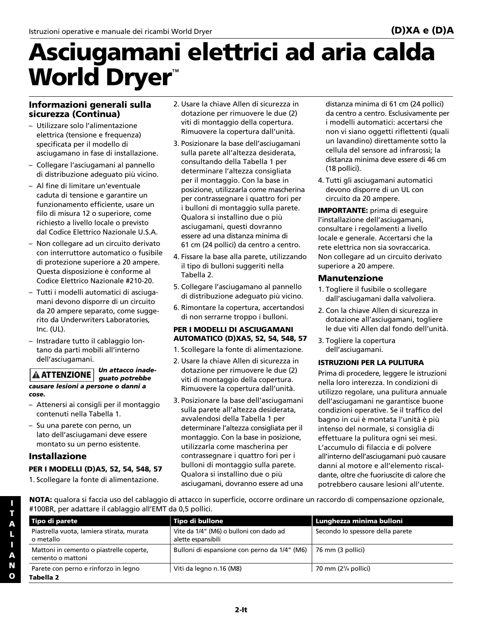# **Asciugamani elettrici ad aria calda World Dryer**™

#### **Informazioni generali sulla sicurezza (Continua)**

- Utilizzare solo l'alimentazione elettrica (tensione e frequenza) specificata per il modello di asciugamano in fase di installazione.
- Collegare l'asciugamani al pannello di distribuzione adeguato più vicino.
- Al fine di limitare un'eventuale caduta di tensione e garantire un funzionamento efficiente, usare un filo di misura 12 o superiore, come richiesto a livello locale o previsto dal Codice Elettrico Nazionale U.S.A.
- Non collegare ad un circuito derivato con interruttore automatico o fusibile di protezione superiore a 20 ampere. Questa disposizione è conforme al Codice Elettrico Nazionale #210-20.
- Tutti i modelli automatici di asciugamani devono disporre di un circuito da 20 ampere separato, come suggerito da Underwriters Laboratories, Inc. (UL).
- Instradare tutto il cablaggio lontano da parti mobili all'interno dell'asciugamani.

#### *Un attacco inadeguato potrebbe causare lesioni a persone o danni a cose.* **ATTENZIONE**

- Attenersi ai consigli per il montaggio contenuti nella Tabella 1.
- Su una parete con perno, un lato dell'asciugamani deve essere montato su un perno esistente.

#### **Installazione**

#### **PER I MODELLI (D)A5, 52, 54, 548, 57**

1. Scollegare la fonte di alimentazione.

- 2. Usare la chiave Allen di sicurezza in dotazione per rimuovere le due (2) viti di montaggio della copertura. Rimuovere la copertura dall'unità.
- 3. Posizionare la base dell'asciugamani sulla parete all'altezza desiderata, consultando della Tabella 1 per determinare l'altezza consigliata per il montaggio. Con la base in posizione, utilizzarla come mascherina per contrassegnare i quattro fori per i bulloni di montaggio sulla parete. Qualora si installino due o più asciugamani, questi dovranno essere ad una distanza minima di 61 cm (24 pollici) da centro a centro.
- 4. Fissare la base alla parete, utilizzando il tipo di bulloni suggeriti nella Tabella 2.
- 5. Collegare l'asciugamano al pannello di distribuzione adeguato più vicino.
- 6. Rimontare la copertura, accertandosi di non serrarne troppo i bulloni.

#### **PER I MODELLI DI ASCIUGAMANI AUTOMATICO (D)XA5, 52, 54, 548, 57**

- 1. Scollegare la fonte di alimentazione.
- 2. Usare la chiave Allen di sicurezza in dotazione per rimuovere le due (2) viti di montaggio della copertura. Rimuovere la copertura dall'unità.
- 3. Posizionare la base dell'asciugamani sulla parete all'altezza desiderata, avvalendosi della Tabella 1 per determinare l'altezza consigliata per il montaggio. Con la base in posizione, utilizzarla come mascherina per contrassegnare i quattro fori per i bulloni di montaggio sulla parete. Qualora si installino due o più asciugamani, dovranno essere ad una

distanza minima di 61 cm (24 pollici) da centro a centro. Esclusivamente per i modelli automatici: accertarsi che non vi siano oggetti riflettenti (quali un lavandino) direttamente sotto la cellula del sensore ad infrarossi; la distanza minima deve essere di 46 cm (18 pollici).

4. Tutti gli asciugamani automatici devono disporre di un UL con circuito da 20 ampere.

**IMPORTANTE:** prima di eseguire l'installazione dell'asciugamani, consultare i regolamenti a livello locale e generale. Accertarsi che la rete elettrica non sia sovraccarica. Non collegare ad un circuito derivato superiore a 20 ampere.

#### **Manutenzione**

- 1. Togliere il fusibile o scollegare dall'asciugamani dalla valvoliera.
- 2. Con la chiave Allen di sicurezza in dotazione all'asciugamani, togliere le due viti Allen dal fondo dell'unità.
- 3. Togliere la copertura dell'asciugamani.

#### **ISTRUZIONI PER LA PULITURA**

Prima di procedere, leggere le istruzioni nella loro interezza. In condizioni di utilizzo regolare, una pulitura annuale dell'asciugamani ne garantisce buone condizioni operative. Se il traffico del bagno in cui è montata l'unità è più intenso del normale, si consiglia di effettuare la pulitura ogni sei mesi. L'accumulo di filaccia e di polvere all'interno dell'asciugamani può causare danni al motore e all'elemento riscaldante, oltre che fuoriuscite di calore che potrebbero causare lesioni all'utente.

**NOTA:** qualora si faccia uso del cablaggio di attacco in superficie, occorre ordinare un raccordo di compensazione opzionale, #100BR, per adattare il cablaggio all'EMT da 0,5 pollici.

| Vite da 1/4" (M6) o bulloni con dado ad      | Secondo lo spessore della parete |
|----------------------------------------------|----------------------------------|
| alette espansibili                           |                                  |
| Bulloni di espansione con perno da 1/4" (M6) | 76 mm (3 pollici)                |
| Viti da legno n.16 (M8)                      | 70 mm $(23/4$ pollici)           |
|                                              |                                  |

**I**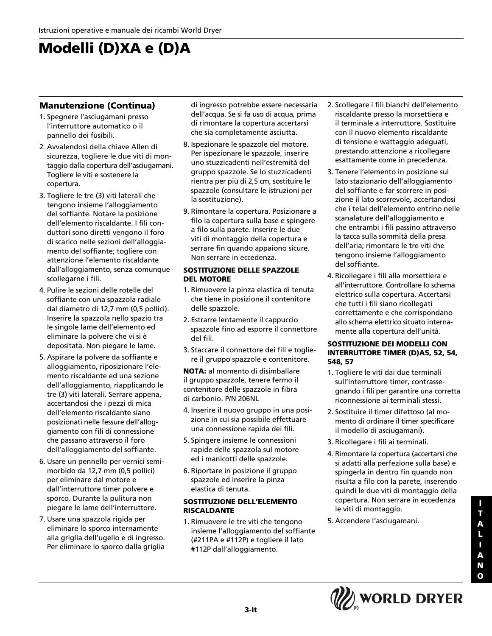## **Modelli (D)XA e (D)A**

#### **Manutenzione (Continua)**

- 1. Spegnere l'asciugamani presso l'interruttore automatico o il pannello dei fusibili.
- 2. Avvalendosi della chiave Allen di sicurezza, togliere le due viti di montaggio dalla copertura dell'asciugamani. Togliere le viti e sostenere la copertura.
- 3. Togliere le tre (3) viti laterali che tengono insieme l'alloggiamento del soffiante. Notare la posizione dell'elemento riscaldante. I fili conduttori sono diretti vengono il foro di scarico nelle sezioni dell'alloggiamento del soffiante; togliere con attenzione l'elemento riscaldante dall'alloggiamento, senza comunque scollegarne i fili.
- 4. Pulire le sezioni delle rotelle del soffiante con una spazzola radiale dal diametro di 12,7 mm (0,5 pollici). Inserire la spazzola nello spazio tra le singole lame dell'elemento ed eliminare la polvere che vi si è depositata. Non piegare le lame.
- 5. Aspirare la polvere da soffiante e alloggiamento, riposizionare l'elemento riscaldante ed una sezione dell'alloggiamento, riapplicando le tre (3) viti laterali. Serrare appena, accertandosi che i pezzi di mica dell'elemento riscaldante siano posizionati nelle fessure dell'alloggiamento con fili di connessione che passano attraverso il foro dell'alloggiamento del soffiante.
- 6. Usare un pennello per vernici semimorbido da 12,7 mm (0,5 pollici) per eliminare dal motore e dall'interruttore timer polvere e sporco. Durante la pulitura non piegare le lame dell'interruttore.
- 7. Usare una spazzola rigida per eliminare lo sporco internamente alla griglia dell'ugello e di ingresso. Per eliminare lo sporco dalla griglia

di ingresso potrebbe essere necessaria dell'acqua. Se si fa uso di acqua, prima di rimontare la copertura accertarsi che sia completamente asciutta.

- 8. Ispezionare le spazzole del motore. Per ispezionare le spazzole, inserire uno stuzzicadenti nell'estremità del gruppo spazzole. Se lo stuzzicadenti rientra per più di 2,5 cm, sostituire le spazzole (consultare le istruzioni per la sostituzione).
- 9. Rimontare la copertura. Posizionare a filo la copertura sulla base e spingere a filo sulla parete. Inserire le due viti di montaggio della copertura e serrare fin quando appaiono sicure. Non serrare in eccedenza.

#### **SOSTITUZIONE DELLE SPAZZOLE DEL MOTORE**

- 1. Rimuovere la pinza elastica di tenuta che tiene in posizione il contenitore delle spazzole.
- 2. Estrarre lentamente il cappuccio spazzole fino ad esporre il connettore del fili.
- 3. Staccare il connettore dei fili e togliere il gruppo spazzole e contenitore.

**NOTA:** al momento di disimballare il gruppo spazzole, tenere fermo il contenitore delle spazzole in fibra di carbonio. P/N 206NL

- 4. Inserire il nuovo gruppo in una posizione in cui sia possibile effettuare una connessione rapida dei fili.
- 5. Spingere insieme le connessioni rapide delle spazzola sul motore ed i manicotti delle spazzole.
- 6. Riportare in posizione il gruppo spazzole ed inserire la pinza elastica di tenuta.

#### **SOSTITUZIONE DELL'ELEMENTO RISCALDANTE**

1. Rimuovere le tre viti che tengono insieme l'alloggiamento del soffiante (#211PA e #112P) e togliere il lato #112P dall'alloggiamento.

- 2. Scollegare i fili bianchi dell'elemento riscaldante presso la morsettiera e il terminale a interruttore. Sostituire con il nuovo elemento riscaldante di tensione e wattaggio adeguati, prestando attenzione a ricollegare esattamente come in precedenza.
- 3. Tenere l'elemento in posizione sul lato stazionario dell'alloggiamento del soffiante e far scorrere in posizione il lato scorrevole, accertandosi che i telai dell'elemento entrino nelle scanalature dell'alloggiamento e che entrambi i fili passino attraverso la tacca sulla sommità della presa dell'aria; rimontare le tre viti che tengono insieme l'alloggiamento del soffiante.
- 4. Ricollegare i fili alla morsettiera e all'interruttore. Controllare lo schema elettrico sulla copertura. Accertarsi che tutti i fili siano ricollegati correttamente e che corrispondano allo schema elettrico situato internamente alla copertura dell'unità.

#### **SOSTITUZIONE DEI MODELLI CON INTERRUTTORE TIMER (D)A5, 52, 54, 548, 57**

- 1. Togliere le viti dai due terminali sull'interruttore timer, contrassegnando i fili per garantire una corretta riconnessione ai terminali stessi.
- 2. Sostituire il timer difettoso (al momento di ordinare il timer specificare il modello di asciugamani).
- 3. Ricollegare i fili ai terminali.
- 4. Rimontare la copertura (accertarsi che si adatti alla perfezione sulla base) e spingerla in dentro fin quando non risulta a filo con la parete, inserendo quindi le due viti di montaggio della copertura. Non serrare in eccedenza le viti di montaggio.
- 5. Accendere l'asciugamani.

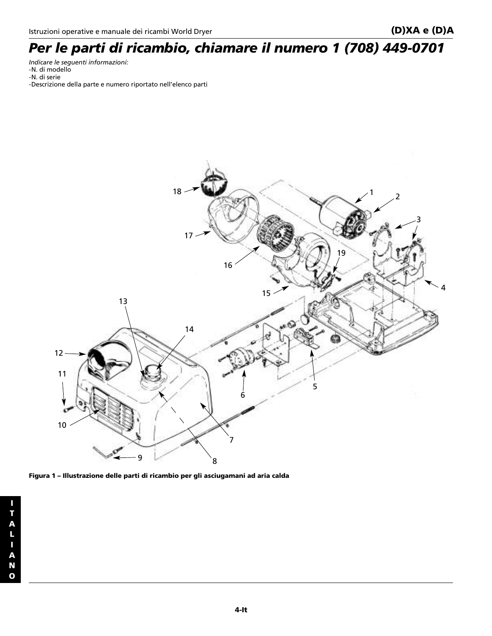## *Per le parti di ricambio, chiamare il numero 1 (708) 449-0701*

*Indicare le seguenti informazioni:* -N. di modello -N. di serie -Descrizione della parte e numero riportato nell'elenco parti



**Figura 1 – Illustrazione delle parti di ricambio per gli asciugamani ad aria calda**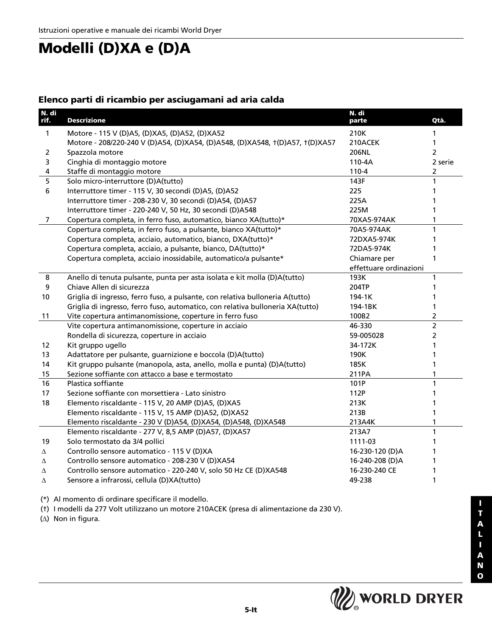## **Modelli (D)XA e (D)A**

#### **Elenco parti di ricambio per asciugamani ad aria calda**

| N. di<br>rif. | <b>Descrizione</b>                                                             | N. di<br>parte         | Qtà.           |
|---------------|--------------------------------------------------------------------------------|------------------------|----------------|
| $\mathbf{1}$  | Motore - 115 V (D)A5, (D)XA5, (D)A52, (D)XA52                                  | 210K                   |                |
|               | Motore - 208/220-240 V (D)A54, (D)XA54, (D)A548, (D)XA548, t(D)A57, t(D)XA57   | 210ACEK                | 1              |
| 2             | Spazzola motore                                                                | 206NL                  | $\overline{2}$ |
| 3             | Cinghia di montaggio motore                                                    | 110-4A                 | 2 serie        |
| 4             | Staffe di montaggio motore                                                     | $110 - 4$              | 2              |
| 5             | Solo micro-interruttore (D)A(tutto)                                            | 143F                   | 1              |
| 6             | Interruttore timer - 115 V, 30 secondi (D)A5, (D)A52                           | 225                    |                |
|               | Interruttore timer - 208-230 V, 30 secondi (D)A54, (D)A57                      | 225A                   |                |
|               | Interruttore timer - 220-240 V, 50 Hz, 30 secondi (D)A548                      | 225M                   |                |
| 7             | Copertura completa, in ferro fuso, automatico, bianco XA(tutto)*               | 70XA5-974AK            | 1              |
|               | Copertura completa, in ferro fuso, a pulsante, bianco XA(tutto)*               | 70A5-974AK             | 1              |
|               | Copertura completa, acciaio, automatico, bianco, DXA(tutto)*                   | 72DXA5-974K            | 1              |
|               | Copertura completa, acciaio, a pulsante, bianco, DA(tutto)*                    | 72DA5-974K             |                |
|               | Copertura completa, acciaio inossidabile, automatico/a pulsante*               | Chiamare per           | 1              |
|               |                                                                                | effettuare ordinazioni |                |
| 8             | Anello di tenuta pulsante, punta per asta isolata e kit molla (D)A(tutto)      | 193K                   | 1              |
| 9             | Chiave Allen di sicurezza                                                      | 204TP                  |                |
| 10            | Griglia di ingresso, ferro fuso, a pulsante, con relativa bulloneria A(tutto)  | 194-1K                 | 1              |
|               | Griglia di ingresso, ferro fuso, automatico, con relativa bulloneria XA(tutto) | 194-1BK                | 1              |
| 11            | Vite copertura antimanomissione, coperture in ferro fuso                       | 100B2                  | $\overline{2}$ |
|               | Vite copertura antimanomissione, coperture in acciaio                          | 46-330                 | $\overline{2}$ |
|               | Rondella di sicurezza, coperture in acciaio                                    | 59-005028              | $\overline{2}$ |
| 12            | Kit gruppo ugello                                                              | 34-172K                | 1              |
| 13            | Adattatore per pulsante, guarnizione e boccola (D)A(tutto)                     | 190K                   | 1              |
| 14            | Kit gruppo pulsante (manopola, asta, anello, molla e punta) (D)A(tutto)        | 185K                   | 1              |
| 15            | Sezione soffiante con attacco a base e termostato                              | 211PA                  | 1              |
| 16            | Plastica soffiante                                                             | 101P                   | 1              |
| 17            | Sezione soffiante con morsettiera - Lato sinistro                              | 112P                   |                |
| 18            | Elemento riscaldante - 115 V, 20 AMP (D)A5, (D)XA5                             | 213K                   |                |
|               | Elemento riscaldante - 115 V, 15 AMP (D)A52, (D)XA52                           | 213B                   |                |
|               | Elemento riscaldante - 230 V (D)A54, (D)XA54, (D)A548, (D)XA548                | 213A4K                 |                |
|               | Elemento riscaldante - 277 V, 8,5 AMP (D)A57, (D)XA57                          | 213A7                  | 1              |
| 19            | Solo termostato da 3/4 pollici                                                 | 1111-03                | 1              |
| Δ             | Controllo sensore automatico - 115 V (D)XA                                     | 16-230-120 (D)A        |                |
| Δ             | Controllo sensore automatico - 208-230 V (D)XA54                               | 16-240-208 (D)A        |                |
| Δ             | Controllo sensore automatico - 220-240 V, solo 50 Hz CE (D)XA548               | 16-230-240 CE          | 1              |
| Δ             | Sensore a infrarossi, cellula (D)XA(tutto)                                     | 49-238                 | 1              |

(\*) Al momento di ordinare specificare il modello.

(†) I modelli da 277 Volt utilizzano un motore 210ACEK (presa di alimentazione da 230 V).

(∆) Non in figura.